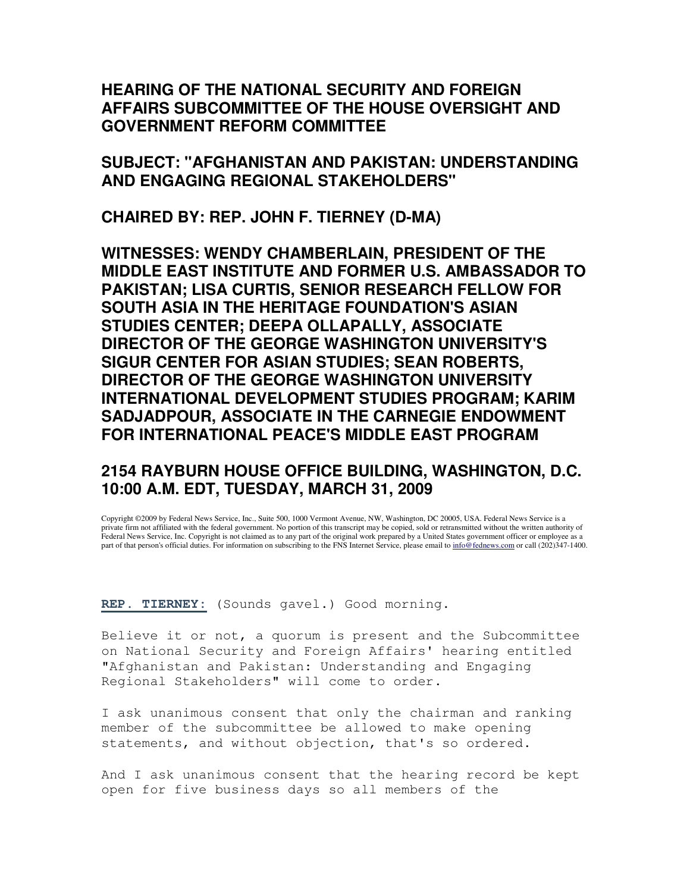## **HEARING OF THE NATIONAL SECURITY AND FOREIGN AFFAIRS SUBCOMMITTEE OF THE HOUSE OVERSIGHT AND GOVERNMENT REFORM COMMITTEE**

**SUBJECT: "AFGHANISTAN AND PAKISTAN: UNDERSTANDING AND ENGAGING REGIONAL STAKEHOLDERS"** 

**CHAIRED BY: REP. JOHN F. TIERNEY (D-MA)** 

**WITNESSES: WENDY CHAMBERLAIN, PRESIDENT OF THE MIDDLE EAST INSTITUTE AND FORMER U.S. AMBASSADOR TO PAKISTAN; LISA CURTIS, SENIOR RESEARCH FELLOW FOR SOUTH ASIA IN THE HERITAGE FOUNDATION'S ASIAN STUDIES CENTER; DEEPA OLLAPALLY, ASSOCIATE DIRECTOR OF THE GEORGE WASHINGTON UNIVERSITY'S SIGUR CENTER FOR ASIAN STUDIES; SEAN ROBERTS, DIRECTOR OF THE GEORGE WASHINGTON UNIVERSITY INTERNATIONAL DEVELOPMENT STUDIES PROGRAM; KARIM SADJADPOUR, ASSOCIATE IN THE CARNEGIE ENDOWMENT FOR INTERNATIONAL PEACE'S MIDDLE EAST PROGRAM** 

## **2154 RAYBURN HOUSE OFFICE BUILDING, WASHINGTON, D.C. 10:00 A.M. EDT, TUESDAY, MARCH 31, 2009**

Copyright ©2009 by Federal News Service, Inc., Suite 500, 1000 Vermont Avenue, NW, Washington, DC 20005, USA. Federal News Service is a private firm not affiliated with the federal government. No portion of this transcript may be copied, sold or retransmitted without the written authority of Federal News Service, Inc. Copyright is not claimed as to any part of the original work prepared by a United States government officer or employee as a part of that person's official duties. For information on subscribing to the FNS Internet Service, please email to info@fednews.com or call (202)347-1400.

**REP. TIERNEY:** (Sounds gavel.) Good morning.

Believe it or not, a quorum is present and the Subcommittee on National Security and Foreign Affairs' hearing entitled "Afghanistan and Pakistan: Understanding and Engaging Regional Stakeholders" will come to order.

I ask unanimous consent that only the chairman and ranking member of the subcommittee be allowed to make opening statements, and without objection, that's so ordered.

And I ask unanimous consent that the hearing record be kept open for five business days so all members of the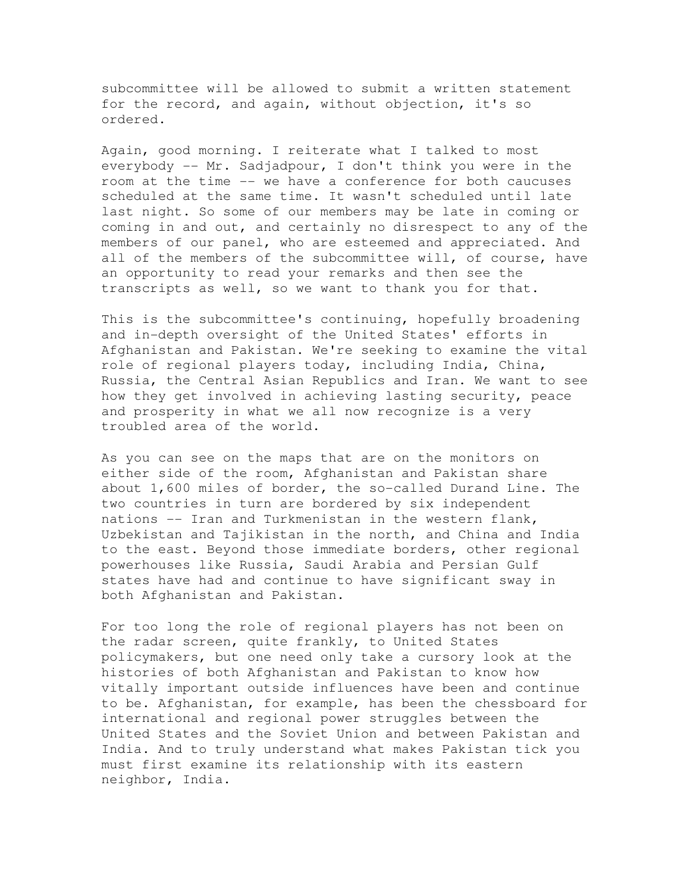subcommittee will be allowed to submit a written statement for the record, and again, without objection, it's so ordered.

Again, good morning. I reiterate what I talked to most everybody -- Mr. Sadjadpour, I don't think you were in the room at the time -- we have a conference for both caucuses scheduled at the same time. It wasn't scheduled until late last night. So some of our members may be late in coming or coming in and out, and certainly no disrespect to any of the members of our panel, who are esteemed and appreciated. And all of the members of the subcommittee will, of course, have an opportunity to read your remarks and then see the transcripts as well, so we want to thank you for that.

This is the subcommittee's continuing, hopefully broadening and in-depth oversight of the United States' efforts in Afghanistan and Pakistan. We're seeking to examine the vital role of regional players today, including India, China, Russia, the Central Asian Republics and Iran. We want to see how they get involved in achieving lasting security, peace and prosperity in what we all now recognize is a very troubled area of the world.

As you can see on the maps that are on the monitors on either side of the room, Afghanistan and Pakistan share about 1,600 miles of border, the so-called Durand Line. The two countries in turn are bordered by six independent nations -- Iran and Turkmenistan in the western flank, Uzbekistan and Tajikistan in the north, and China and India to the east. Beyond those immediate borders, other regional powerhouses like Russia, Saudi Arabia and Persian Gulf states have had and continue to have significant sway in both Afghanistan and Pakistan.

For too long the role of regional players has not been on the radar screen, quite frankly, to United States policymakers, but one need only take a cursory look at the histories of both Afghanistan and Pakistan to know how vitally important outside influences have been and continue to be. Afghanistan, for example, has been the chessboard for international and regional power struggles between the United States and the Soviet Union and between Pakistan and India. And to truly understand what makes Pakistan tick you must first examine its relationship with its eastern neighbor, India.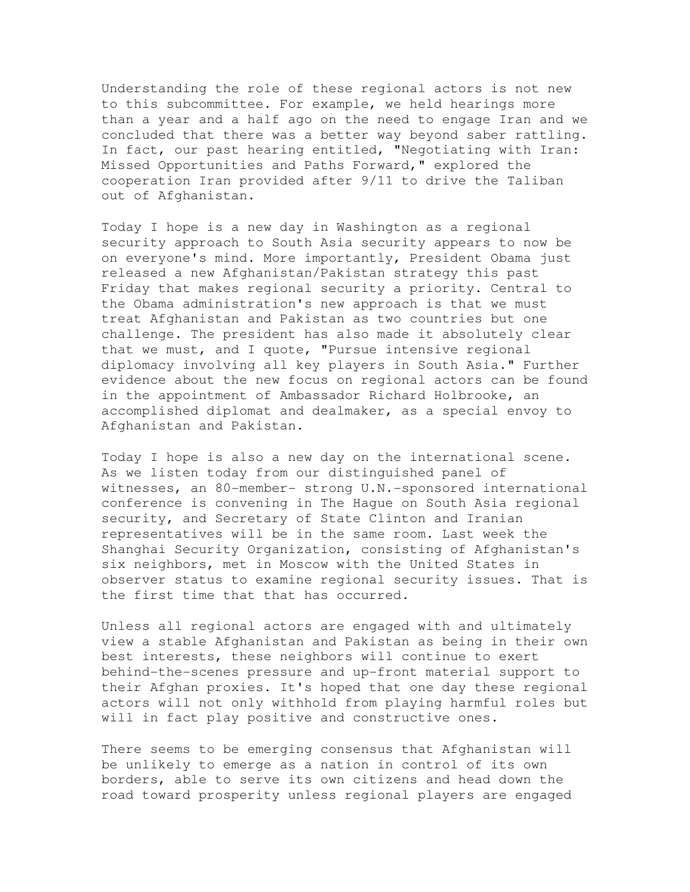Understanding the role of these regional actors is not new to this subcommittee. For example, we held hearings more than a year and a half ago on the need to engage Iran and we concluded that there was a better way beyond saber rattling. In fact, our past hearing entitled, "Negotiating with Iran: Missed Opportunities and Paths Forward," explored the cooperation Iran provided after 9/11 to drive the Taliban out of Afghanistan.

Today I hope is a new day in Washington as a regional security approach to South Asia security appears to now be on everyone's mind. More importantly, President Obama just released a new Afghanistan/Pakistan strategy this past Friday that makes regional security a priority. Central to the Obama administration's new approach is that we must treat Afghanistan and Pakistan as two countries but one challenge. The president has also made it absolutely clear that we must, and I quote, "Pursue intensive regional diplomacy involving all key players in South Asia." Further evidence about the new focus on regional actors can be found in the appointment of Ambassador Richard Holbrooke, an accomplished diplomat and dealmaker, as a special envoy to Afghanistan and Pakistan.

Today I hope is also a new day on the international scene. As we listen today from our distinguished panel of witnesses, an 80-member- strong U.N.-sponsored international conference is convening in The Hague on South Asia regional security, and Secretary of State Clinton and Iranian representatives will be in the same room. Last week the Shanghai Security Organization, consisting of Afghanistan's six neighbors, met in Moscow with the United States in observer status to examine regional security issues. That is the first time that that has occurred.

Unless all regional actors are engaged with and ultimately view a stable Afghanistan and Pakistan as being in their own best interests, these neighbors will continue to exert behind-the-scenes pressure and up-front material support to their Afghan proxies. It's hoped that one day these regional actors will not only withhold from playing harmful roles but will in fact play positive and constructive ones.

There seems to be emerging consensus that Afghanistan will be unlikely to emerge as a nation in control of its own borders, able to serve its own citizens and head down the road toward prosperity unless regional players are engaged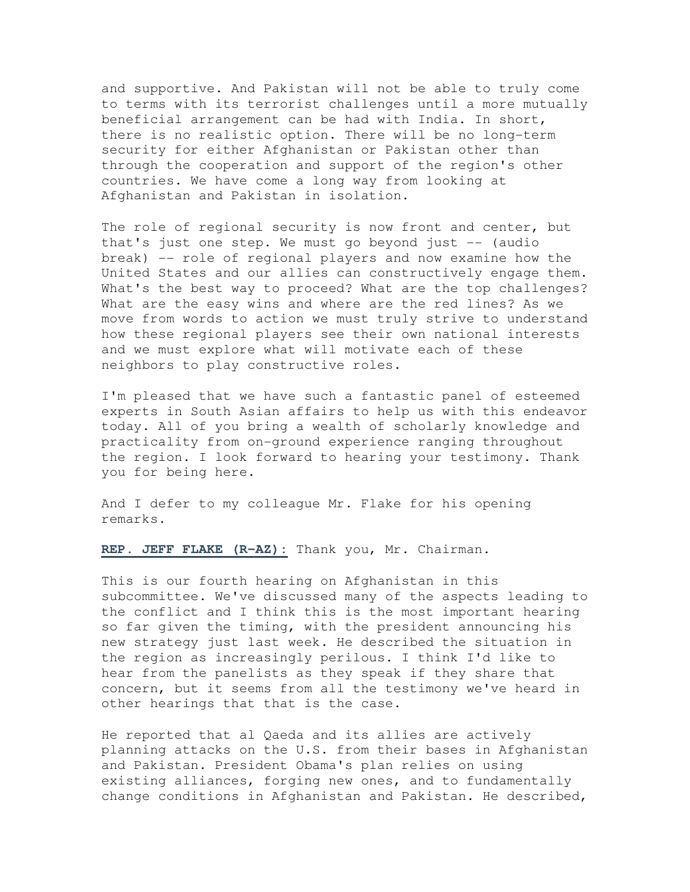and supportive. And Pakistan will not be able to truly come to terms with its terrorist challenges until a more mutually beneficial arrangement can be had with India. In short, there is no realistic option. There will be no long-term security for either Afghanistan or Pakistan other than through the cooperation and support of the region's other countries. We have come a long way from looking at Afghanistan and Pakistan in isolation.

The role of regional security is now front and center, but that's just one step. We must go beyond just -- (audio break) -- role of regional players and now examine how the United States and our allies can constructively engage them. What's the best way to proceed? What are the top challenges? What are the easy wins and where are the red lines? As we move from words to action we must truly strive to understand how these regional players see their own national interests and we must explore what will motivate each of these neighbors to play constructive roles.

I'm pleased that we have such a fantastic panel of esteemed experts in South Asian affairs to help us with this endeavor today. All of you bring a wealth of scholarly knowledge and practicality from on-ground experience ranging throughout the region. I look forward to hearing your testimony. Thank you for being here.

And I defer to my colleague Mr. Flake for his opening remarks.

**REP. JEFF FLAKE (R-AZ):** Thank you, Mr. Chairman.

This is our fourth hearing on Afghanistan in this subcommittee. We've discussed many of the aspects leading to the conflict and I think this is the most important hearing so far given the timing, with the president announcing his new strategy just last week. He described the situation in the region as increasingly perilous. I think I'd like to hear from the panelists as they speak if they share that concern, but it seems from all the testimony we've heard in other hearings that that is the case.

He reported that al Qaeda and its allies are actively planning attacks on the U.S. from their bases in Afghanistan and Pakistan. President Obama's plan relies on using existing alliances, forging new ones, and to fundamentally change conditions in Afghanistan and Pakistan. He described,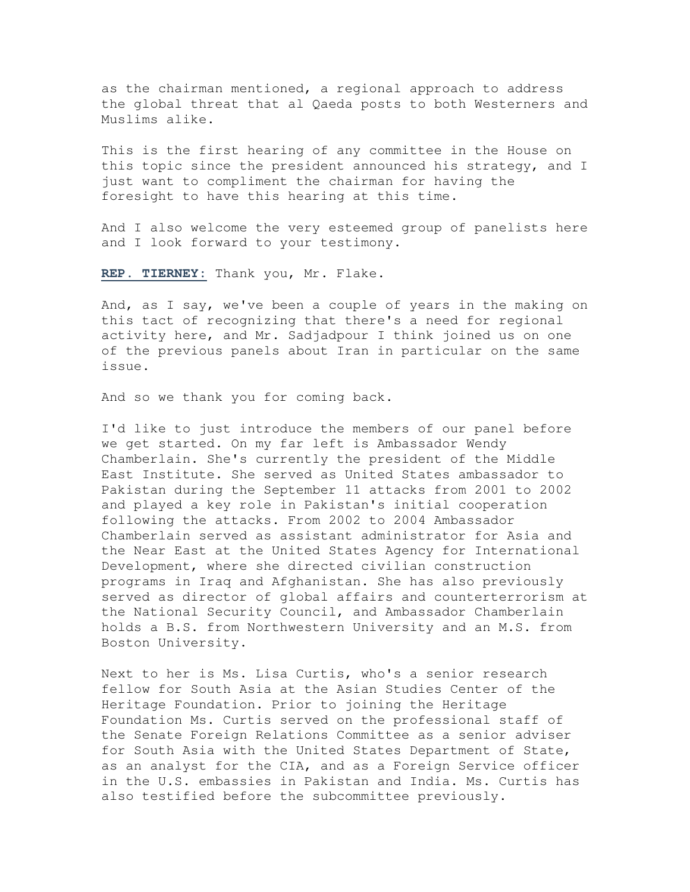as the chairman mentioned, a regional approach to address the global threat that al Qaeda posts to both Westerners and Muslims alike.

This is the first hearing of any committee in the House on this topic since the president announced his strategy, and I just want to compliment the chairman for having the foresight to have this hearing at this time.

And I also welcome the very esteemed group of panelists here and I look forward to your testimony.

**REP. TIERNEY:** Thank you, Mr. Flake.

And, as I say, we've been a couple of years in the making on this tact of recognizing that there's a need for regional activity here, and Mr. Sadjadpour I think joined us on one of the previous panels about Iran in particular on the same issue.

And so we thank you for coming back.

I'd like to just introduce the members of our panel before we get started. On my far left is Ambassador Wendy Chamberlain. She's currently the president of the Middle East Institute. She served as United States ambassador to Pakistan during the September 11 attacks from 2001 to 2002 and played a key role in Pakistan's initial cooperation following the attacks. From 2002 to 2004 Ambassador Chamberlain served as assistant administrator for Asia and the Near East at the United States Agency for International Development, where she directed civilian construction programs in Iraq and Afghanistan. She has also previously served as director of global affairs and counterterrorism at the National Security Council, and Ambassador Chamberlain holds a B.S. from Northwestern University and an M.S. from Boston University.

Next to her is Ms. Lisa Curtis, who's a senior research fellow for South Asia at the Asian Studies Center of the Heritage Foundation. Prior to joining the Heritage Foundation Ms. Curtis served on the professional staff of the Senate Foreign Relations Committee as a senior adviser for South Asia with the United States Department of State, as an analyst for the CIA, and as a Foreign Service officer in the U.S. embassies in Pakistan and India. Ms. Curtis has also testified before the subcommittee previously.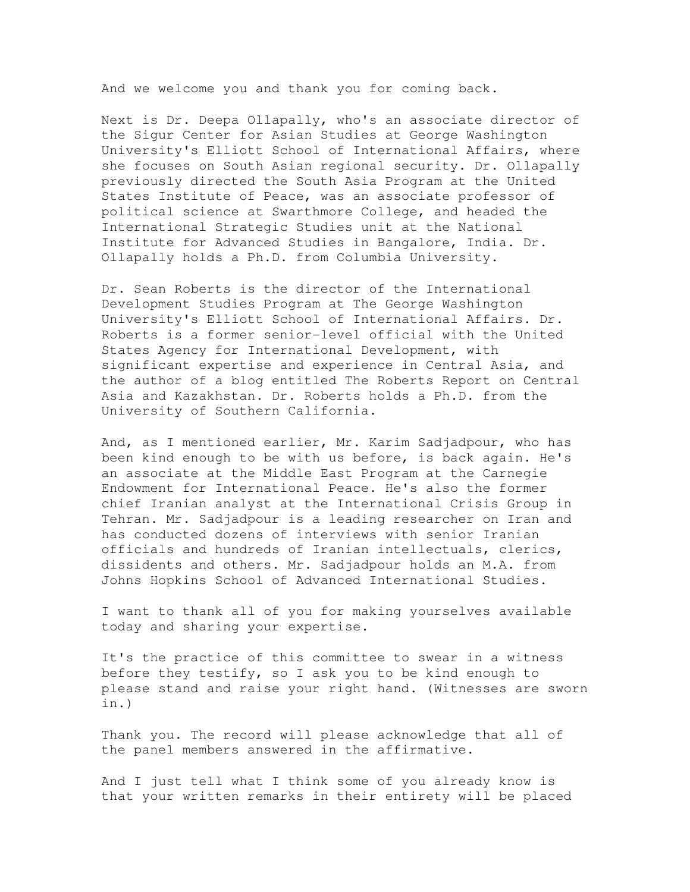And we welcome you and thank you for coming back.

Next is Dr. Deepa Ollapally, who's an associate director of the Sigur Center for Asian Studies at George Washington University's Elliott School of International Affairs, where she focuses on South Asian regional security. Dr. Ollapally previously directed the South Asia Program at the United States Institute of Peace, was an associate professor of political science at Swarthmore College, and headed the International Strategic Studies unit at the National Institute for Advanced Studies in Bangalore, India. Dr. Ollapally holds a Ph.D. from Columbia University.

Dr. Sean Roberts is the director of the International Development Studies Program at The George Washington University's Elliott School of International Affairs. Dr. Roberts is a former senior-level official with the United States Agency for International Development, with significant expertise and experience in Central Asia, and the author of a blog entitled The Roberts Report on Central Asia and Kazakhstan. Dr. Roberts holds a Ph.D. from the University of Southern California.

And, as I mentioned earlier, Mr. Karim Sadjadpour, who has been kind enough to be with us before, is back again. He's an associate at the Middle East Program at the Carnegie Endowment for International Peace. He's also the former chief Iranian analyst at the International Crisis Group in Tehran. Mr. Sadjadpour is a leading researcher on Iran and has conducted dozens of interviews with senior Iranian officials and hundreds of Iranian intellectuals, clerics, dissidents and others. Mr. Sadjadpour holds an M.A. from Johns Hopkins School of Advanced International Studies.

I want to thank all of you for making yourselves available today and sharing your expertise.

It's the practice of this committee to swear in a witness before they testify, so I ask you to be kind enough to please stand and raise your right hand. (Witnesses are sworn in.)

Thank you. The record will please acknowledge that all of the panel members answered in the affirmative.

And I just tell what I think some of you already know is that your written remarks in their entirety will be placed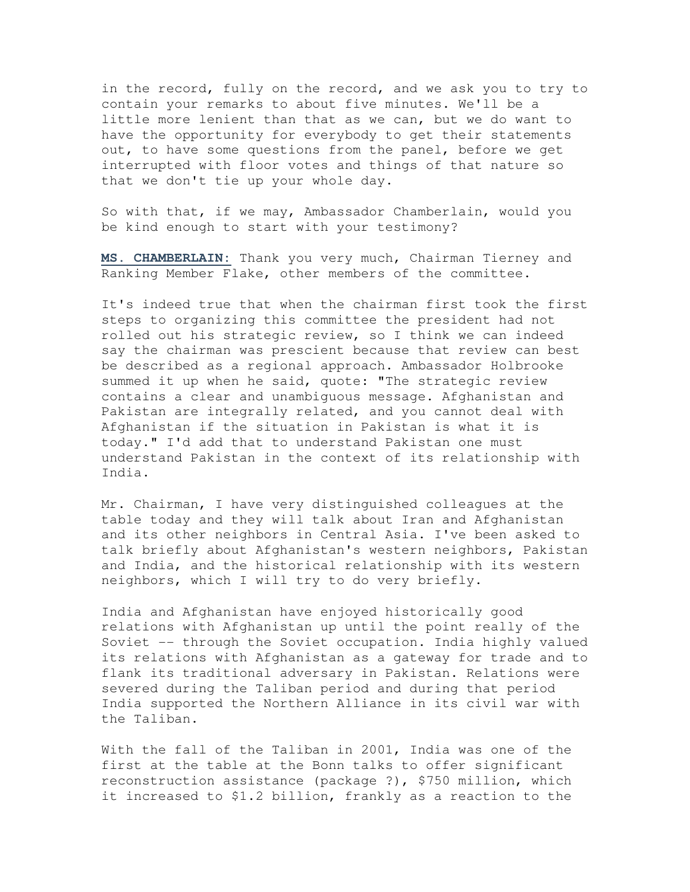in the record, fully on the record, and we ask you to try to contain your remarks to about five minutes. We'll be a little more lenient than that as we can, but we do want to have the opportunity for everybody to get their statements out, to have some questions from the panel, before we get interrupted with floor votes and things of that nature so that we don't tie up your whole day.

So with that, if we may, Ambassador Chamberlain, would you be kind enough to start with your testimony?

**MS. CHAMBERLAIN:** Thank you very much, Chairman Tierney and Ranking Member Flake, other members of the committee.

It's indeed true that when the chairman first took the first steps to organizing this committee the president had not rolled out his strategic review, so I think we can indeed say the chairman was prescient because that review can best be described as a regional approach. Ambassador Holbrooke summed it up when he said, quote: "The strategic review contains a clear and unambiguous message. Afghanistan and Pakistan are integrally related, and you cannot deal with Afghanistan if the situation in Pakistan is what it is today." I'd add that to understand Pakistan one must understand Pakistan in the context of its relationship with India.

Mr. Chairman, I have very distinguished colleagues at the table today and they will talk about Iran and Afghanistan and its other neighbors in Central Asia. I've been asked to talk briefly about Afghanistan's western neighbors, Pakistan and India, and the historical relationship with its western neighbors, which I will try to do very briefly.

India and Afghanistan have enjoyed historically good relations with Afghanistan up until the point really of the Soviet -- through the Soviet occupation. India highly valued its relations with Afghanistan as a gateway for trade and to flank its traditional adversary in Pakistan. Relations were severed during the Taliban period and during that period India supported the Northern Alliance in its civil war with the Taliban.

With the fall of the Taliban in 2001, India was one of the first at the table at the Bonn talks to offer significant reconstruction assistance (package ?), \$750 million, which it increased to \$1.2 billion, frankly as a reaction to the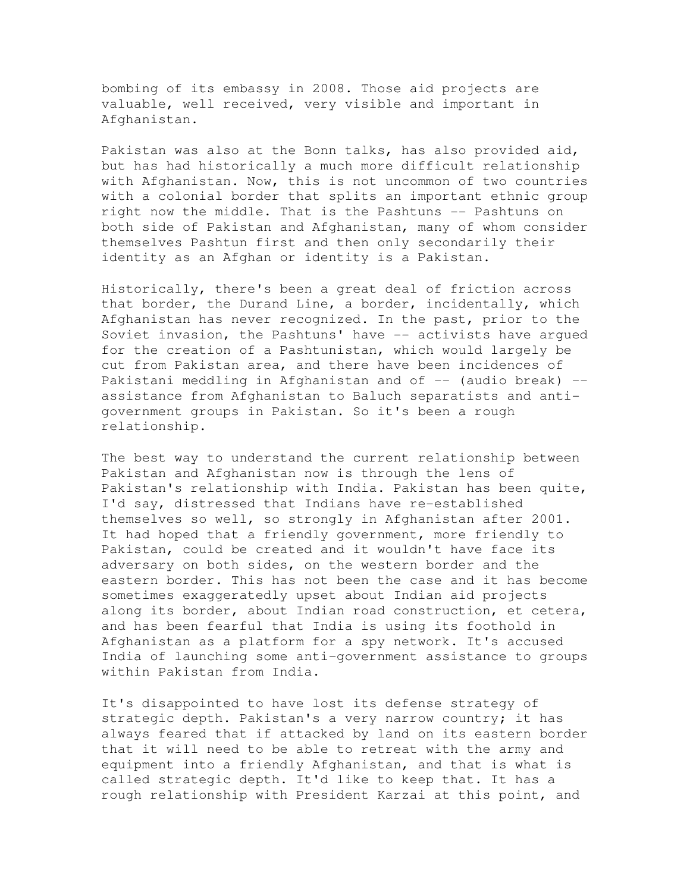bombing of its embassy in 2008. Those aid projects are valuable, well received, very visible and important in Afghanistan.

Pakistan was also at the Bonn talks, has also provided aid, but has had historically a much more difficult relationship with Afghanistan. Now, this is not uncommon of two countries with a colonial border that splits an important ethnic group right now the middle. That is the Pashtuns -- Pashtuns on both side of Pakistan and Afghanistan, many of whom consider themselves Pashtun first and then only secondarily their identity as an Afghan or identity is a Pakistan.

Historically, there's been a great deal of friction across that border, the Durand Line, a border, incidentally, which Afghanistan has never recognized. In the past, prior to the Soviet invasion, the Pashtuns' have -- activists have argued for the creation of a Pashtunistan, which would largely be cut from Pakistan area, and there have been incidences of Pakistani meddling in Afghanistan and of -- (audio break) -assistance from Afghanistan to Baluch separatists and antigovernment groups in Pakistan. So it's been a rough relationship.

The best way to understand the current relationship between Pakistan and Afghanistan now is through the lens of Pakistan's relationship with India. Pakistan has been quite, I'd say, distressed that Indians have re-established themselves so well, so strongly in Afghanistan after 2001. It had hoped that a friendly government, more friendly to Pakistan, could be created and it wouldn't have face its adversary on both sides, on the western border and the eastern border. This has not been the case and it has become sometimes exaggeratedly upset about Indian aid projects along its border, about Indian road construction, et cetera, and has been fearful that India is using its foothold in Afghanistan as a platform for a spy network. It's accused India of launching some anti-government assistance to groups within Pakistan from India.

It's disappointed to have lost its defense strategy of strategic depth. Pakistan's a very narrow country; it has always feared that if attacked by land on its eastern border that it will need to be able to retreat with the army and equipment into a friendly Afghanistan, and that is what is called strategic depth. It'd like to keep that. It has a rough relationship with President Karzai at this point, and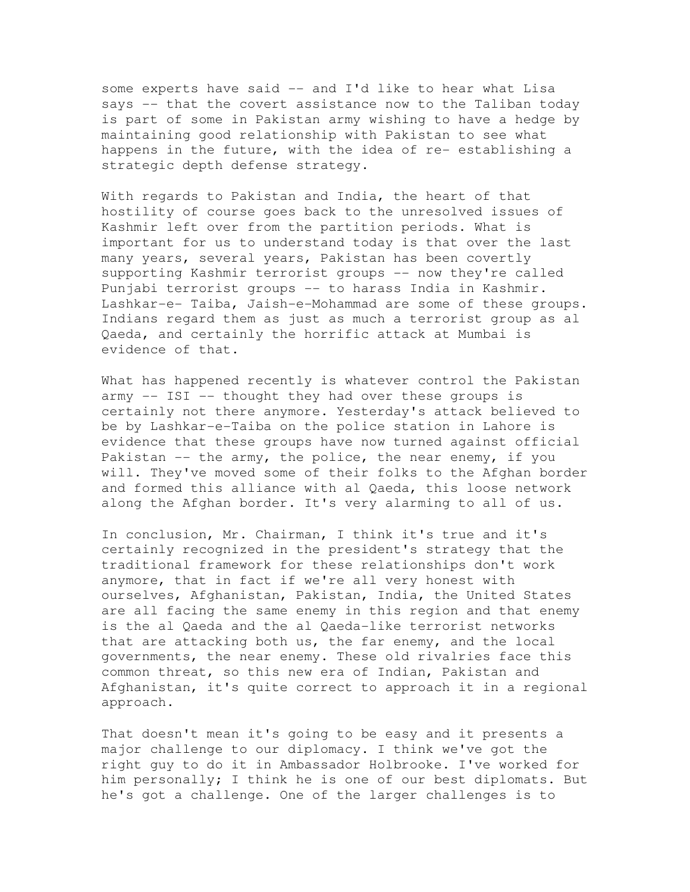some experts have said -- and I'd like to hear what Lisa says -- that the covert assistance now to the Taliban today is part of some in Pakistan army wishing to have a hedge by maintaining good relationship with Pakistan to see what happens in the future, with the idea of re- establishing a strategic depth defense strategy.

With regards to Pakistan and India, the heart of that hostility of course goes back to the unresolved issues of Kashmir left over from the partition periods. What is important for us to understand today is that over the last many years, several years, Pakistan has been covertly supporting Kashmir terrorist groups -- now they're called Punjabi terrorist groups -- to harass India in Kashmir. Lashkar-e- Taiba, Jaish-e-Mohammad are some of these groups. Indians regard them as just as much a terrorist group as al Qaeda, and certainly the horrific attack at Mumbai is evidence of that.

What has happened recently is whatever control the Pakistan army -- ISI -- thought they had over these groups is certainly not there anymore. Yesterday's attack believed to be by Lashkar-e-Taiba on the police station in Lahore is evidence that these groups have now turned against official Pakistan -- the army, the police, the near enemy, if you will. They've moved some of their folks to the Afghan border and formed this alliance with al Qaeda, this loose network along the Afghan border. It's very alarming to all of us.

In conclusion, Mr. Chairman, I think it's true and it's certainly recognized in the president's strategy that the traditional framework for these relationships don't work anymore, that in fact if we're all very honest with ourselves, Afghanistan, Pakistan, India, the United States are all facing the same enemy in this region and that enemy is the al Qaeda and the al Qaeda-like terrorist networks that are attacking both us, the far enemy, and the local governments, the near enemy. These old rivalries face this common threat, so this new era of Indian, Pakistan and Afghanistan, it's quite correct to approach it in a regional approach.

That doesn't mean it's going to be easy and it presents a major challenge to our diplomacy. I think we've got the right guy to do it in Ambassador Holbrooke. I've worked for him personally; I think he is one of our best diplomats. But he's got a challenge. One of the larger challenges is to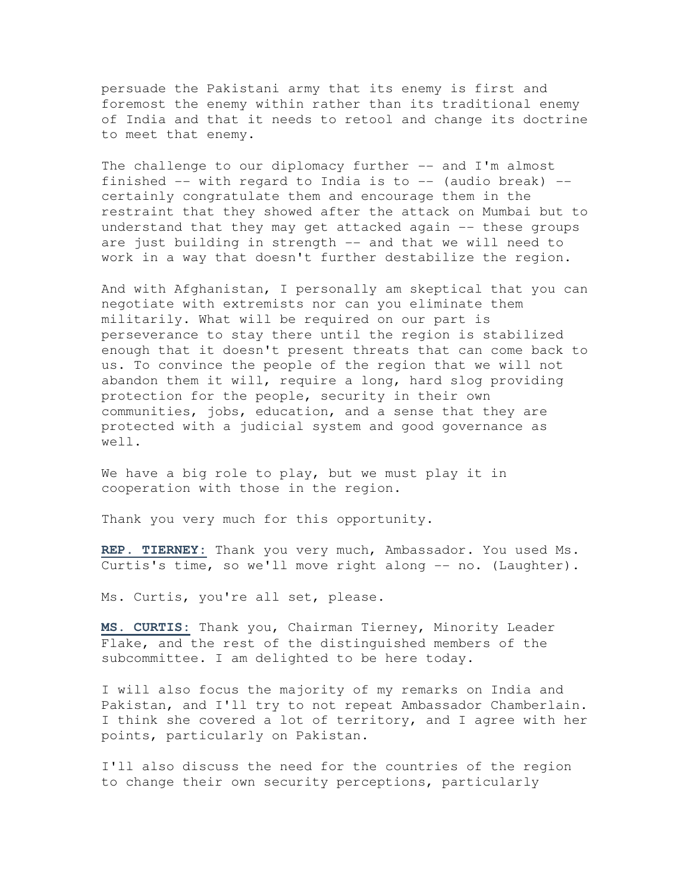persuade the Pakistani army that its enemy is first and foremost the enemy within rather than its traditional enemy of India and that it needs to retool and change its doctrine to meet that enemy.

The challenge to our diplomacy further -- and I'm almost finished  $-$  with regard to India is to  $-$  (audio break)  $$ certainly congratulate them and encourage them in the restraint that they showed after the attack on Mumbai but to understand that they may get attacked again -- these groups are just building in strength -- and that we will need to work in a way that doesn't further destabilize the region.

And with Afghanistan, I personally am skeptical that you can negotiate with extremists nor can you eliminate them militarily. What will be required on our part is perseverance to stay there until the region is stabilized enough that it doesn't present threats that can come back to us. To convince the people of the region that we will not abandon them it will, require a long, hard slog providing protection for the people, security in their own communities, jobs, education, and a sense that they are protected with a judicial system and good governance as well.

We have a big role to play, but we must play it in cooperation with those in the region.

Thank you very much for this opportunity.

**REP. TIERNEY:** Thank you very much, Ambassador. You used Ms. Curtis's time, so we'll move right along -- no. (Laughter).

Ms. Curtis, you're all set, please.

**MS. CURTIS:** Thank you, Chairman Tierney, Minority Leader Flake, and the rest of the distinguished members of the subcommittee. I am delighted to be here today.

I will also focus the majority of my remarks on India and Pakistan, and I'll try to not repeat Ambassador Chamberlain. I think she covered a lot of territory, and I agree with her points, particularly on Pakistan.

I'll also discuss the need for the countries of the region to change their own security perceptions, particularly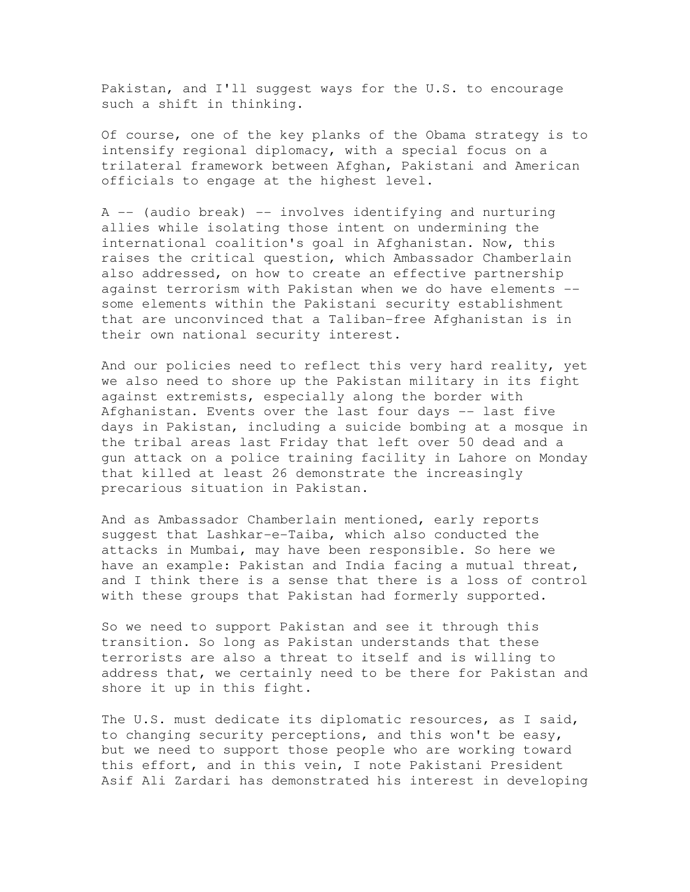Pakistan, and I'll suggest ways for the U.S. to encourage such a shift in thinking.

Of course, one of the key planks of the Obama strategy is to intensify regional diplomacy, with a special focus on a trilateral framework between Afghan, Pakistani and American officials to engage at the highest level.

A -- (audio break) -- involves identifying and nurturing allies while isolating those intent on undermining the international coalition's goal in Afghanistan. Now, this raises the critical question, which Ambassador Chamberlain also addressed, on how to create an effective partnership against terrorism with Pakistan when we do have elements - some elements within the Pakistani security establishment that are unconvinced that a Taliban-free Afghanistan is in their own national security interest.

And our policies need to reflect this very hard reality, yet we also need to shore up the Pakistan military in its fight against extremists, especially along the border with Afghanistan. Events over the last four days -- last five days in Pakistan, including a suicide bombing at a mosque in the tribal areas last Friday that left over 50 dead and a gun attack on a police training facility in Lahore on Monday that killed at least 26 demonstrate the increasingly precarious situation in Pakistan.

And as Ambassador Chamberlain mentioned, early reports suggest that Lashkar-e-Taiba, which also conducted the attacks in Mumbai, may have been responsible. So here we have an example: Pakistan and India facing a mutual threat, and I think there is a sense that there is a loss of control with these groups that Pakistan had formerly supported.

So we need to support Pakistan and see it through this transition. So long as Pakistan understands that these terrorists are also a threat to itself and is willing to address that, we certainly need to be there for Pakistan and shore it up in this fight.

The U.S. must dedicate its diplomatic resources, as I said, to changing security perceptions, and this won't be easy, but we need to support those people who are working toward this effort, and in this vein, I note Pakistani President Asif Ali Zardari has demonstrated his interest in developing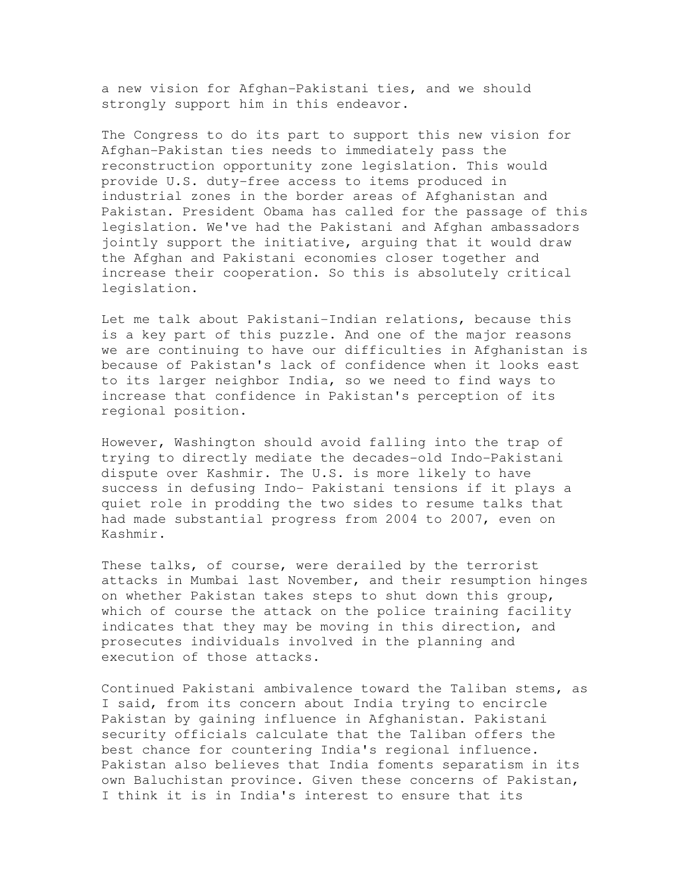a new vision for Afghan-Pakistani ties, and we should strongly support him in this endeavor.

The Congress to do its part to support this new vision for Afghan-Pakistan ties needs to immediately pass the reconstruction opportunity zone legislation. This would provide U.S. duty-free access to items produced in industrial zones in the border areas of Afghanistan and Pakistan. President Obama has called for the passage of this legislation. We've had the Pakistani and Afghan ambassadors jointly support the initiative, arguing that it would draw the Afghan and Pakistani economies closer together and increase their cooperation. So this is absolutely critical legislation.

Let me talk about Pakistani-Indian relations, because this is a key part of this puzzle. And one of the major reasons we are continuing to have our difficulties in Afghanistan is because of Pakistan's lack of confidence when it looks east to its larger neighbor India, so we need to find ways to increase that confidence in Pakistan's perception of its regional position.

However, Washington should avoid falling into the trap of trying to directly mediate the decades-old Indo-Pakistani dispute over Kashmir. The U.S. is more likely to have success in defusing Indo- Pakistani tensions if it plays a quiet role in prodding the two sides to resume talks that had made substantial progress from 2004 to 2007, even on Kashmir.

These talks, of course, were derailed by the terrorist attacks in Mumbai last November, and their resumption hinges on whether Pakistan takes steps to shut down this group, which of course the attack on the police training facility indicates that they may be moving in this direction, and prosecutes individuals involved in the planning and execution of those attacks.

Continued Pakistani ambivalence toward the Taliban stems, as I said, from its concern about India trying to encircle Pakistan by gaining influence in Afghanistan. Pakistani security officials calculate that the Taliban offers the best chance for countering India's regional influence. Pakistan also believes that India foments separatism in its own Baluchistan province. Given these concerns of Pakistan, I think it is in India's interest to ensure that its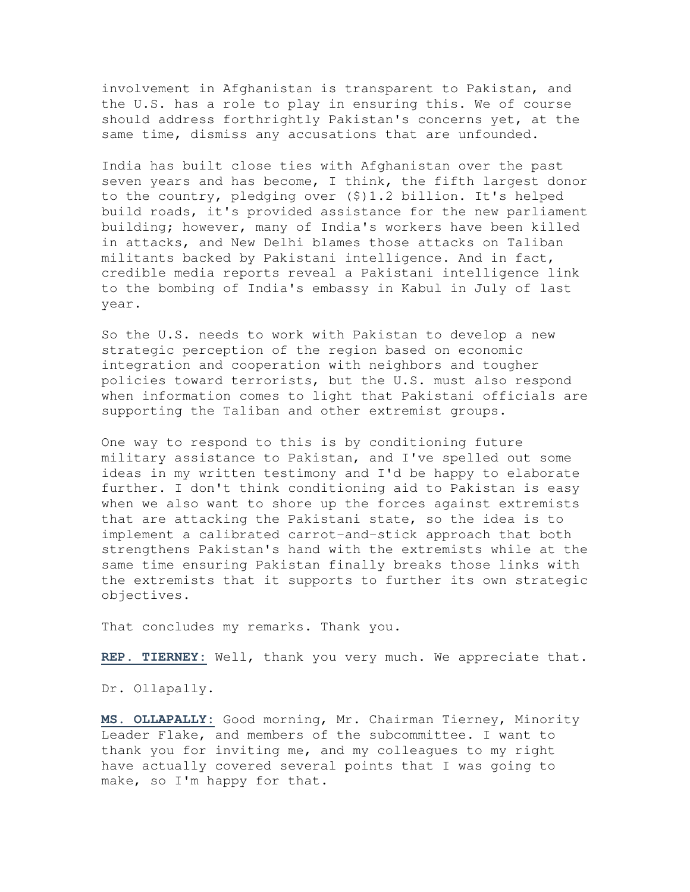involvement in Afghanistan is transparent to Pakistan, and the U.S. has a role to play in ensuring this. We of course should address forthrightly Pakistan's concerns yet, at the same time, dismiss any accusations that are unfounded.

India has built close ties with Afghanistan over the past seven years and has become, I think, the fifth largest donor to the country, pledging over (\$)1.2 billion. It's helped build roads, it's provided assistance for the new parliament building; however, many of India's workers have been killed in attacks, and New Delhi blames those attacks on Taliban militants backed by Pakistani intelligence. And in fact, credible media reports reveal a Pakistani intelligence link to the bombing of India's embassy in Kabul in July of last year.

So the U.S. needs to work with Pakistan to develop a new strategic perception of the region based on economic integration and cooperation with neighbors and tougher policies toward terrorists, but the U.S. must also respond when information comes to light that Pakistani officials are supporting the Taliban and other extremist groups.

One way to respond to this is by conditioning future military assistance to Pakistan, and I've spelled out some ideas in my written testimony and I'd be happy to elaborate further. I don't think conditioning aid to Pakistan is easy when we also want to shore up the forces against extremists that are attacking the Pakistani state, so the idea is to implement a calibrated carrot-and-stick approach that both strengthens Pakistan's hand with the extremists while at the same time ensuring Pakistan finally breaks those links with the extremists that it supports to further its own strategic objectives.

That concludes my remarks. Thank you.

**REP. TIERNEY:** Well, thank you very much. We appreciate that.

Dr. Ollapally.

**MS. OLLAPALLY:** Good morning, Mr. Chairman Tierney, Minority Leader Flake, and members of the subcommittee. I want to thank you for inviting me, and my colleagues to my right have actually covered several points that I was going to make, so I'm happy for that.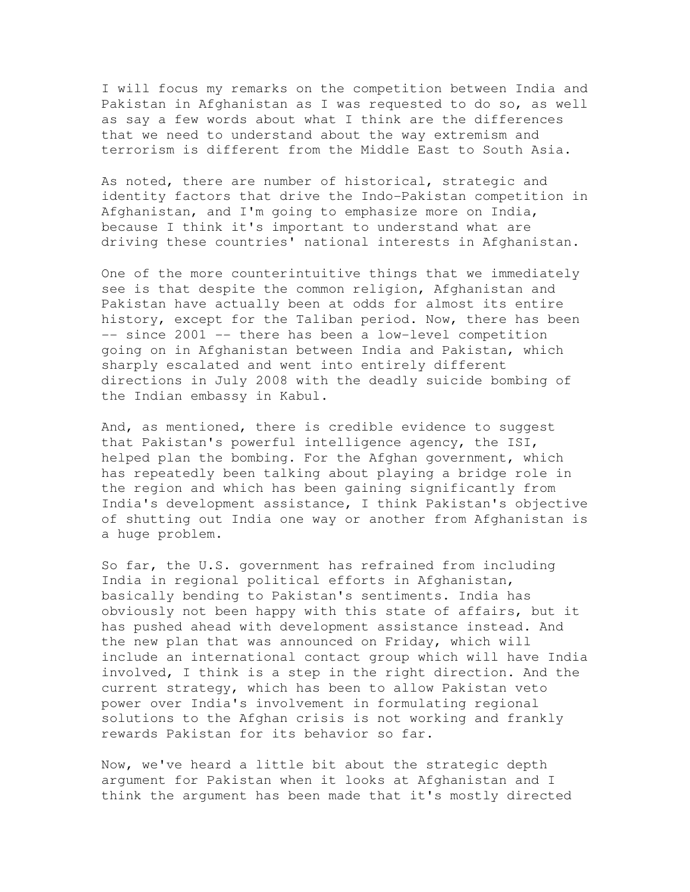I will focus my remarks on the competition between India and Pakistan in Afghanistan as I was requested to do so, as well as say a few words about what I think are the differences that we need to understand about the way extremism and terrorism is different from the Middle East to South Asia.

As noted, there are number of historical, strategic and identity factors that drive the Indo-Pakistan competition in Afghanistan, and I'm going to emphasize more on India, because I think it's important to understand what are driving these countries' national interests in Afghanistan.

One of the more counterintuitive things that we immediately see is that despite the common religion, Afghanistan and Pakistan have actually been at odds for almost its entire history, except for the Taliban period. Now, there has been -- since 2001 -- there has been a low-level competition going on in Afghanistan between India and Pakistan, which sharply escalated and went into entirely different directions in July 2008 with the deadly suicide bombing of the Indian embassy in Kabul.

And, as mentioned, there is credible evidence to suggest that Pakistan's powerful intelligence agency, the ISI, helped plan the bombing. For the Afghan government, which has repeatedly been talking about playing a bridge role in the region and which has been gaining significantly from India's development assistance, I think Pakistan's objective of shutting out India one way or another from Afghanistan is a huge problem.

So far, the U.S. government has refrained from including India in regional political efforts in Afghanistan, basically bending to Pakistan's sentiments. India has obviously not been happy with this state of affairs, but it has pushed ahead with development assistance instead. And the new plan that was announced on Friday, which will include an international contact group which will have India involved, I think is a step in the right direction. And the current strategy, which has been to allow Pakistan veto power over India's involvement in formulating regional solutions to the Afghan crisis is not working and frankly rewards Pakistan for its behavior so far.

Now, we've heard a little bit about the strategic depth argument for Pakistan when it looks at Afghanistan and I think the argument has been made that it's mostly directed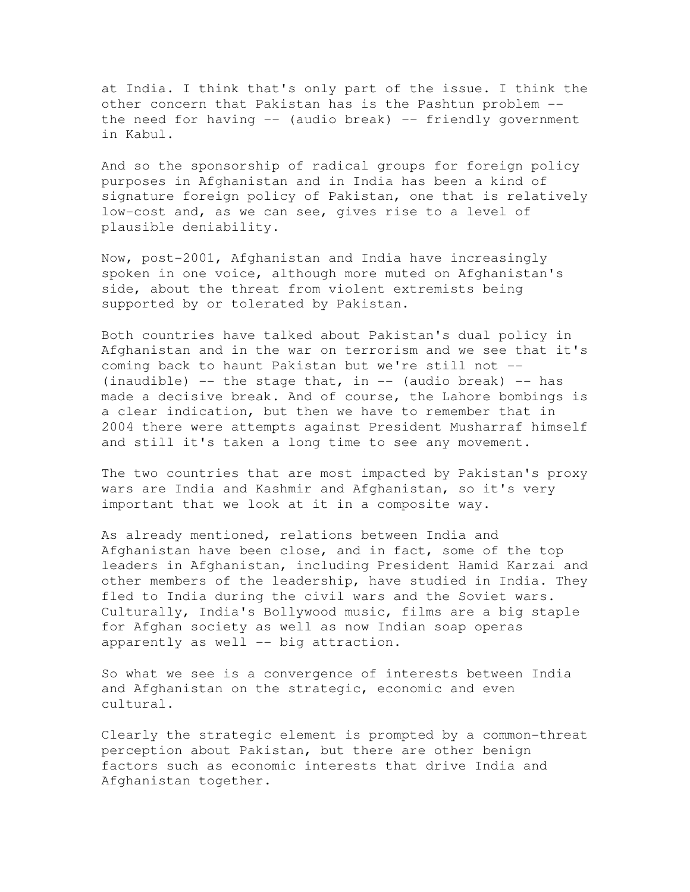at India. I think that's only part of the issue. I think the other concern that Pakistan has is the Pashtun problem - the need for having -- (audio break) -- friendly government in Kabul.

And so the sponsorship of radical groups for foreign policy purposes in Afghanistan and in India has been a kind of signature foreign policy of Pakistan, one that is relatively low-cost and, as we can see, gives rise to a level of plausible deniability.

Now, post-2001, Afghanistan and India have increasingly spoken in one voice, although more muted on Afghanistan's side, about the threat from violent extremists being supported by or tolerated by Pakistan.

Both countries have talked about Pakistan's dual policy in Afghanistan and in the war on terrorism and we see that it's coming back to haunt Pakistan but we're still not -- (inaudible) -- the stage that, in -- (audio break) -- has made a decisive break. And of course, the Lahore bombings is a clear indication, but then we have to remember that in 2004 there were attempts against President Musharraf himself and still it's taken a long time to see any movement.

The two countries that are most impacted by Pakistan's proxy wars are India and Kashmir and Afghanistan, so it's very important that we look at it in a composite way.

As already mentioned, relations between India and Afghanistan have been close, and in fact, some of the top leaders in Afghanistan, including President Hamid Karzai and other members of the leadership, have studied in India. They fled to India during the civil wars and the Soviet wars. Culturally, India's Bollywood music, films are a big staple for Afghan society as well as now Indian soap operas apparently as well -- big attraction.

So what we see is a convergence of interests between India and Afghanistan on the strategic, economic and even cultural.

Clearly the strategic element is prompted by a common-threat perception about Pakistan, but there are other benign factors such as economic interests that drive India and Afghanistan together.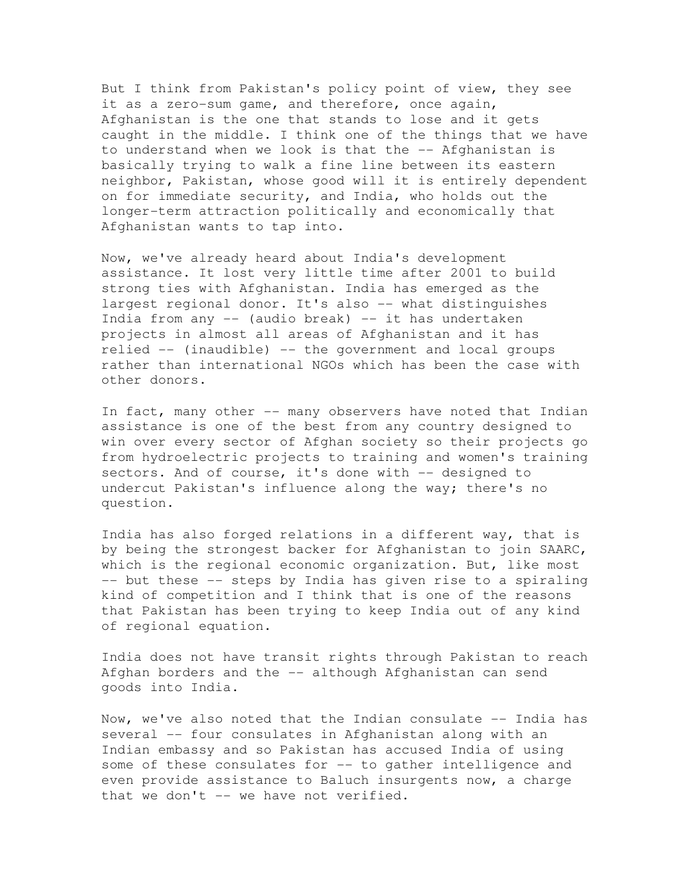But I think from Pakistan's policy point of view, they see it as a zero-sum game, and therefore, once again, Afghanistan is the one that stands to lose and it gets caught in the middle. I think one of the things that we have to understand when we look is that the -- Afghanistan is basically trying to walk a fine line between its eastern neighbor, Pakistan, whose good will it is entirely dependent on for immediate security, and India, who holds out the longer-term attraction politically and economically that Afghanistan wants to tap into.

Now, we've already heard about India's development assistance. It lost very little time after 2001 to build strong ties with Afghanistan. India has emerged as the largest regional donor. It's also -- what distinguishes India from any -- (audio break) -- it has undertaken projects in almost all areas of Afghanistan and it has relied -- (inaudible) -- the government and local groups rather than international NGOs which has been the case with other donors.

In fact, many other -- many observers have noted that Indian assistance is one of the best from any country designed to win over every sector of Afghan society so their projects go from hydroelectric projects to training and women's training sectors. And of course, it's done with -- designed to undercut Pakistan's influence along the way; there's no question.

India has also forged relations in a different way, that is by being the strongest backer for Afghanistan to join SAARC, which is the regional economic organization. But, like most -- but these -- steps by India has given rise to a spiraling kind of competition and I think that is one of the reasons that Pakistan has been trying to keep India out of any kind of regional equation.

India does not have transit rights through Pakistan to reach Afghan borders and the -- although Afghanistan can send goods into India.

Now, we've also noted that the Indian consulate -- India has several -- four consulates in Afghanistan along with an Indian embassy and so Pakistan has accused India of using some of these consulates for -- to gather intelligence and even provide assistance to Baluch insurgents now, a charge that we don't -- we have not verified.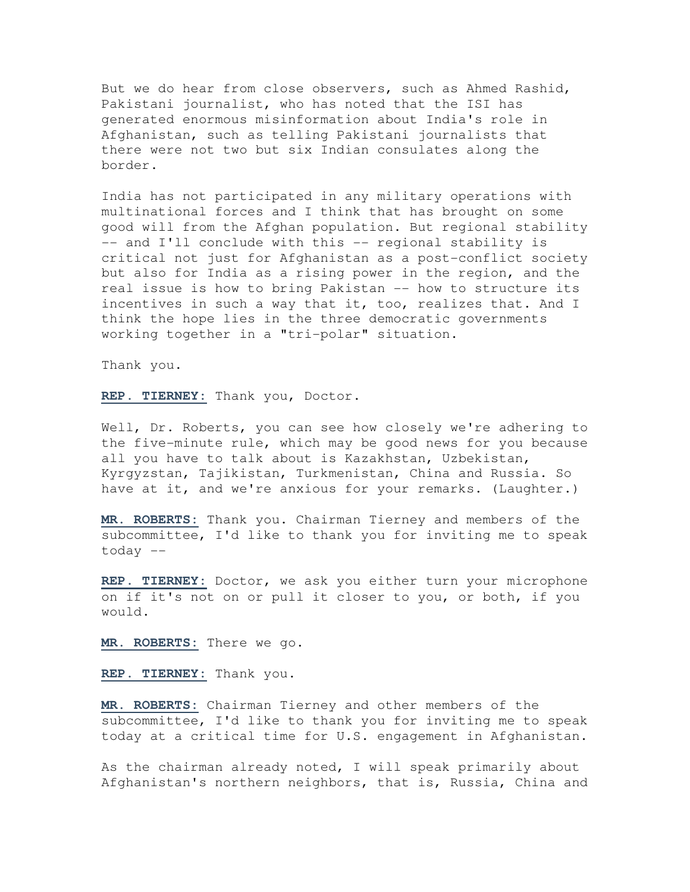But we do hear from close observers, such as Ahmed Rashid, Pakistani journalist, who has noted that the ISI has generated enormous misinformation about India's role in Afghanistan, such as telling Pakistani journalists that there were not two but six Indian consulates along the border.

India has not participated in any military operations with multinational forces and I think that has brought on some good will from the Afghan population. But regional stability -- and I'll conclude with this -- regional stability is critical not just for Afghanistan as a post-conflict society but also for India as a rising power in the region, and the real issue is how to bring Pakistan -- how to structure its incentives in such a way that it, too, realizes that. And I think the hope lies in the three democratic governments working together in a "tri-polar" situation.

Thank you.

**REP. TIERNEY:** Thank you, Doctor.

Well, Dr. Roberts, you can see how closely we're adhering to the five-minute rule, which may be good news for you because all you have to talk about is Kazakhstan, Uzbekistan, Kyrgyzstan, Tajikistan, Turkmenistan, China and Russia. So have at it, and we're anxious for your remarks. (Laughter.)

**MR. ROBERTS:** Thank you. Chairman Tierney and members of the subcommittee, I'd like to thank you for inviting me to speak today --

**REP. TIERNEY:** Doctor, we ask you either turn your microphone on if it's not on or pull it closer to you, or both, if you would.

**MR. ROBERTS:** There we go.

**REP. TIERNEY:** Thank you.

**MR. ROBERTS:** Chairman Tierney and other members of the subcommittee, I'd like to thank you for inviting me to speak today at a critical time for U.S. engagement in Afghanistan.

As the chairman already noted, I will speak primarily about Afghanistan's northern neighbors, that is, Russia, China and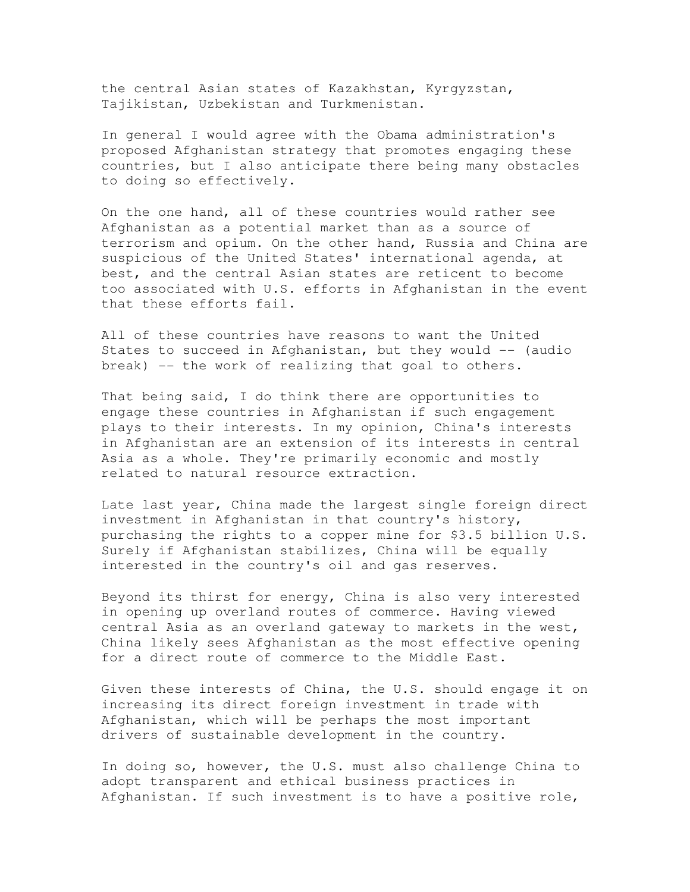the central Asian states of Kazakhstan, Kyrgyzstan, Tajikistan, Uzbekistan and Turkmenistan.

In general I would agree with the Obama administration's proposed Afghanistan strategy that promotes engaging these countries, but I also anticipate there being many obstacles to doing so effectively.

On the one hand, all of these countries would rather see Afghanistan as a potential market than as a source of terrorism and opium. On the other hand, Russia and China are suspicious of the United States' international agenda, at best, and the central Asian states are reticent to become too associated with U.S. efforts in Afghanistan in the event that these efforts fail.

All of these countries have reasons to want the United States to succeed in Afghanistan, but they would  $-$  (audio break) -- the work of realizing that goal to others.

That being said, I do think there are opportunities to engage these countries in Afghanistan if such engagement plays to their interests. In my opinion, China's interests in Afghanistan are an extension of its interests in central Asia as a whole. They're primarily economic and mostly related to natural resource extraction.

Late last year, China made the largest single foreign direct investment in Afghanistan in that country's history, purchasing the rights to a copper mine for \$3.5 billion U.S. Surely if Afghanistan stabilizes, China will be equally interested in the country's oil and gas reserves.

Beyond its thirst for energy, China is also very interested in opening up overland routes of commerce. Having viewed central Asia as an overland gateway to markets in the west, China likely sees Afghanistan as the most effective opening for a direct route of commerce to the Middle East.

Given these interests of China, the U.S. should engage it on increasing its direct foreign investment in trade with Afghanistan, which will be perhaps the most important drivers of sustainable development in the country.

In doing so, however, the U.S. must also challenge China to adopt transparent and ethical business practices in Afghanistan. If such investment is to have a positive role,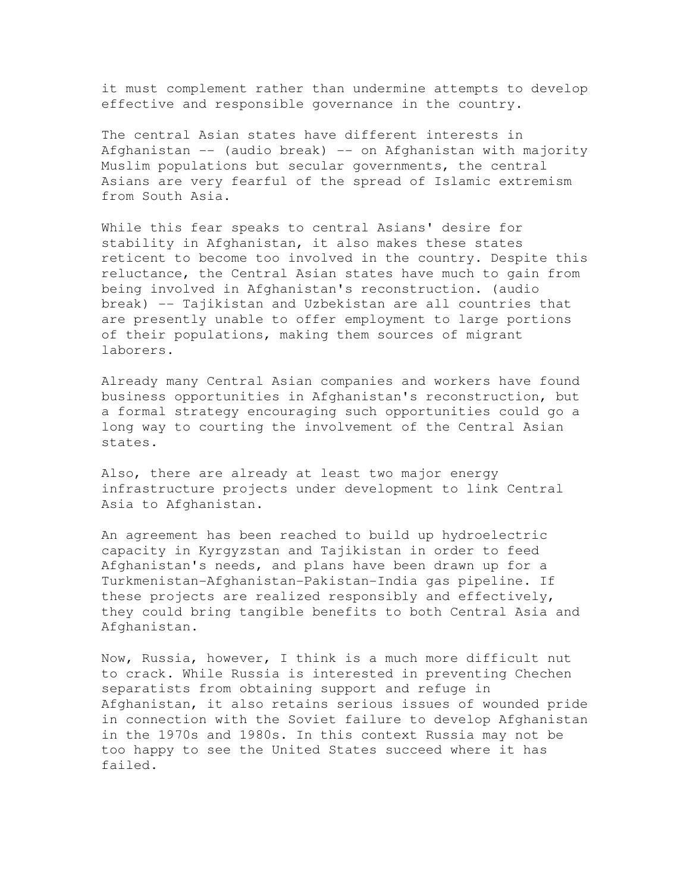it must complement rather than undermine attempts to develop effective and responsible governance in the country.

The central Asian states have different interests in Afghanistan -- (audio break) -- on Afghanistan with majority Muslim populations but secular governments, the central Asians are very fearful of the spread of Islamic extremism from South Asia.

While this fear speaks to central Asians' desire for stability in Afghanistan, it also makes these states reticent to become too involved in the country. Despite this reluctance, the Central Asian states have much to gain from being involved in Afghanistan's reconstruction. (audio break) -- Tajikistan and Uzbekistan are all countries that are presently unable to offer employment to large portions of their populations, making them sources of migrant laborers.

Already many Central Asian companies and workers have found business opportunities in Afghanistan's reconstruction, but a formal strategy encouraging such opportunities could go a long way to courting the involvement of the Central Asian states.

Also, there are already at least two major energy infrastructure projects under development to link Central Asia to Afghanistan.

An agreement has been reached to build up hydroelectric capacity in Kyrgyzstan and Tajikistan in order to feed Afghanistan's needs, and plans have been drawn up for a Turkmenistan-Afghanistan-Pakistan-India gas pipeline. If these projects are realized responsibly and effectively, they could bring tangible benefits to both Central Asia and Afghanistan.

Now, Russia, however, I think is a much more difficult nut to crack. While Russia is interested in preventing Chechen separatists from obtaining support and refuge in Afghanistan, it also retains serious issues of wounded pride in connection with the Soviet failure to develop Afghanistan in the 1970s and 1980s. In this context Russia may not be too happy to see the United States succeed where it has failed.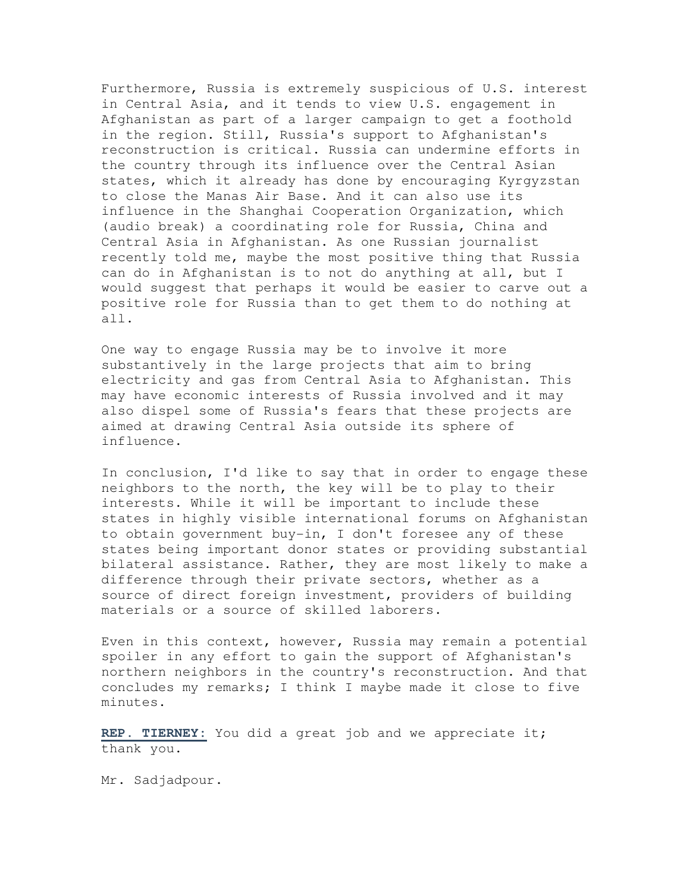Furthermore, Russia is extremely suspicious of U.S. interest in Central Asia, and it tends to view U.S. engagement in Afghanistan as part of a larger campaign to get a foothold in the region. Still, Russia's support to Afghanistan's reconstruction is critical. Russia can undermine efforts in the country through its influence over the Central Asian states, which it already has done by encouraging Kyrgyzstan to close the Manas Air Base. And it can also use its influence in the Shanghai Cooperation Organization, which (audio break) a coordinating role for Russia, China and Central Asia in Afghanistan. As one Russian journalist recently told me, maybe the most positive thing that Russia can do in Afghanistan is to not do anything at all, but I would suggest that perhaps it would be easier to carve out a positive role for Russia than to get them to do nothing at all.

One way to engage Russia may be to involve it more substantively in the large projects that aim to bring electricity and gas from Central Asia to Afghanistan. This may have economic interests of Russia involved and it may also dispel some of Russia's fears that these projects are aimed at drawing Central Asia outside its sphere of influence.

In conclusion, I'd like to say that in order to engage these neighbors to the north, the key will be to play to their interests. While it will be important to include these states in highly visible international forums on Afghanistan to obtain government buy-in, I don't foresee any of these states being important donor states or providing substantial bilateral assistance. Rather, they are most likely to make a difference through their private sectors, whether as a source of direct foreign investment, providers of building materials or a source of skilled laborers.

Even in this context, however, Russia may remain a potential spoiler in any effort to gain the support of Afghanistan's northern neighbors in the country's reconstruction. And that concludes my remarks; I think I maybe made it close to five minutes.

**REP. TIERNEY:** You did a great job and we appreciate it; thank you.

Mr. Sadjadpour.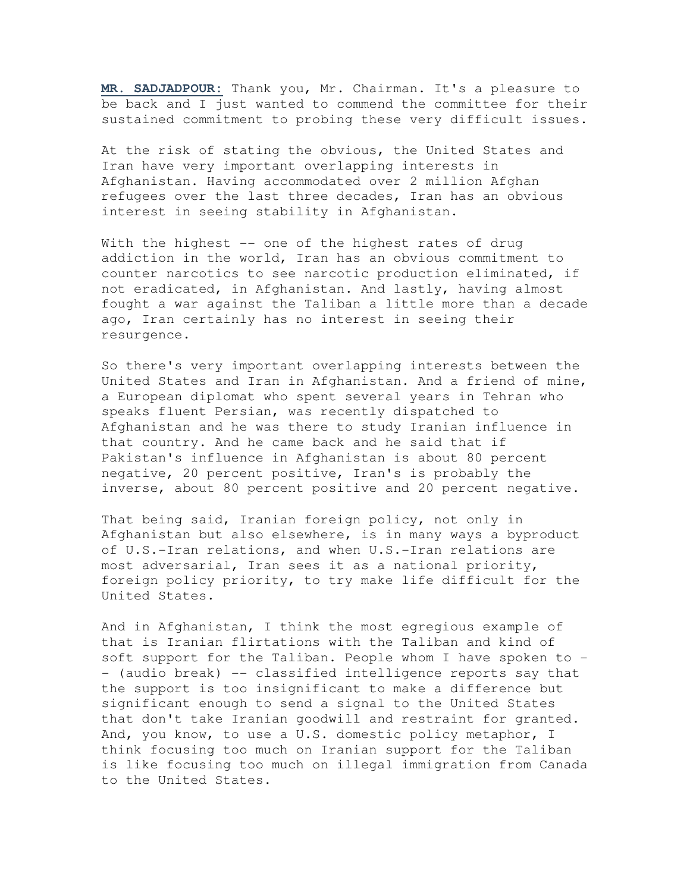**MR. SADJADPOUR:** Thank you, Mr. Chairman. It's a pleasure to be back and I just wanted to commend the committee for their sustained commitment to probing these very difficult issues.

At the risk of stating the obvious, the United States and Iran have very important overlapping interests in Afghanistan. Having accommodated over 2 million Afghan refugees over the last three decades, Iran has an obvious interest in seeing stability in Afghanistan.

With the highest -- one of the highest rates of drug addiction in the world, Iran has an obvious commitment to counter narcotics to see narcotic production eliminated, if not eradicated, in Afghanistan. And lastly, having almost fought a war against the Taliban a little more than a decade ago, Iran certainly has no interest in seeing their resurgence.

So there's very important overlapping interests between the United States and Iran in Afghanistan. And a friend of mine, a European diplomat who spent several years in Tehran who speaks fluent Persian, was recently dispatched to Afghanistan and he was there to study Iranian influence in that country. And he came back and he said that if Pakistan's influence in Afghanistan is about 80 percent negative, 20 percent positive, Iran's is probably the inverse, about 80 percent positive and 20 percent negative.

That being said, Iranian foreign policy, not only in Afghanistan but also elsewhere, is in many ways a byproduct of U.S.-Iran relations, and when U.S.-Iran relations are most adversarial, Iran sees it as a national priority, foreign policy priority, to try make life difficult for the United States.

And in Afghanistan, I think the most egregious example of that is Iranian flirtations with the Taliban and kind of soft support for the Taliban. People whom I have spoken to -- (audio break) -- classified intelligence reports say that the support is too insignificant to make a difference but significant enough to send a signal to the United States that don't take Iranian goodwill and restraint for granted. And, you know, to use a U.S. domestic policy metaphor, I think focusing too much on Iranian support for the Taliban is like focusing too much on illegal immigration from Canada to the United States.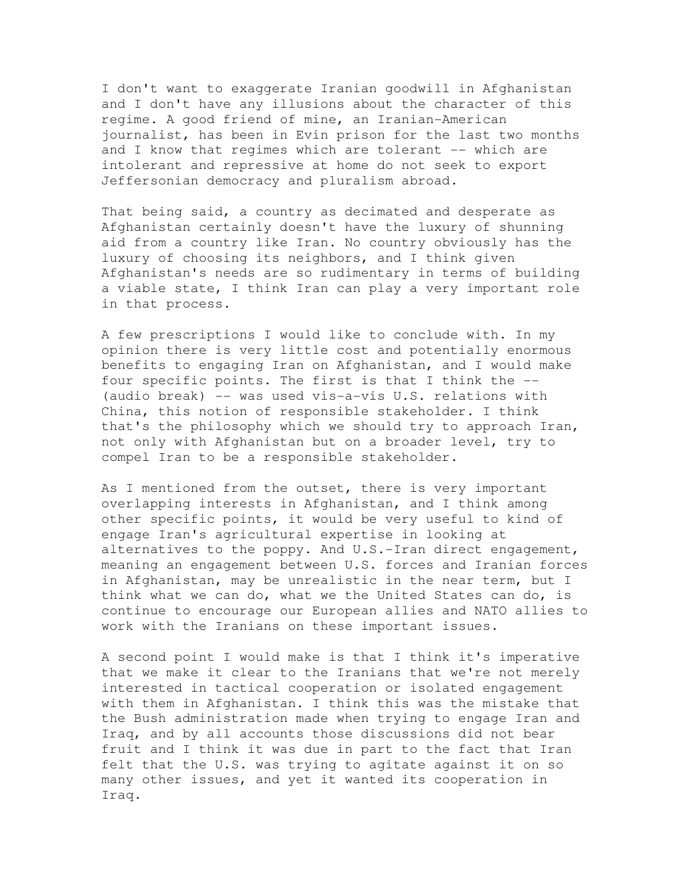I don't want to exaggerate Iranian goodwill in Afghanistan and I don't have any illusions about the character of this regime. A good friend of mine, an Iranian-American journalist, has been in Evin prison for the last two months and I know that regimes which are tolerant -- which are intolerant and repressive at home do not seek to export Jeffersonian democracy and pluralism abroad.

That being said, a country as decimated and desperate as Afghanistan certainly doesn't have the luxury of shunning aid from a country like Iran. No country obviously has the luxury of choosing its neighbors, and I think given Afghanistan's needs are so rudimentary in terms of building a viable state, I think Iran can play a very important role in that process.

A few prescriptions I would like to conclude with. In my opinion there is very little cost and potentially enormous benefits to engaging Iran on Afghanistan, and I would make four specific points. The first is that I think the -- (audio break) -- was used vis-a-vis U.S. relations with China, this notion of responsible stakeholder. I think that's the philosophy which we should try to approach Iran, not only with Afghanistan but on a broader level, try to compel Iran to be a responsible stakeholder.

As I mentioned from the outset, there is very important overlapping interests in Afghanistan, and I think among other specific points, it would be very useful to kind of engage Iran's agricultural expertise in looking at alternatives to the poppy. And U.S.-Iran direct engagement, meaning an engagement between U.S. forces and Iranian forces in Afghanistan, may be unrealistic in the near term, but I think what we can do, what we the United States can do, is continue to encourage our European allies and NATO allies to work with the Iranians on these important issues.

A second point I would make is that I think it's imperative that we make it clear to the Iranians that we're not merely interested in tactical cooperation or isolated engagement with them in Afghanistan. I think this was the mistake that the Bush administration made when trying to engage Iran and Iraq, and by all accounts those discussions did not bear fruit and I think it was due in part to the fact that Iran felt that the U.S. was trying to agitate against it on so many other issues, and yet it wanted its cooperation in Iraq.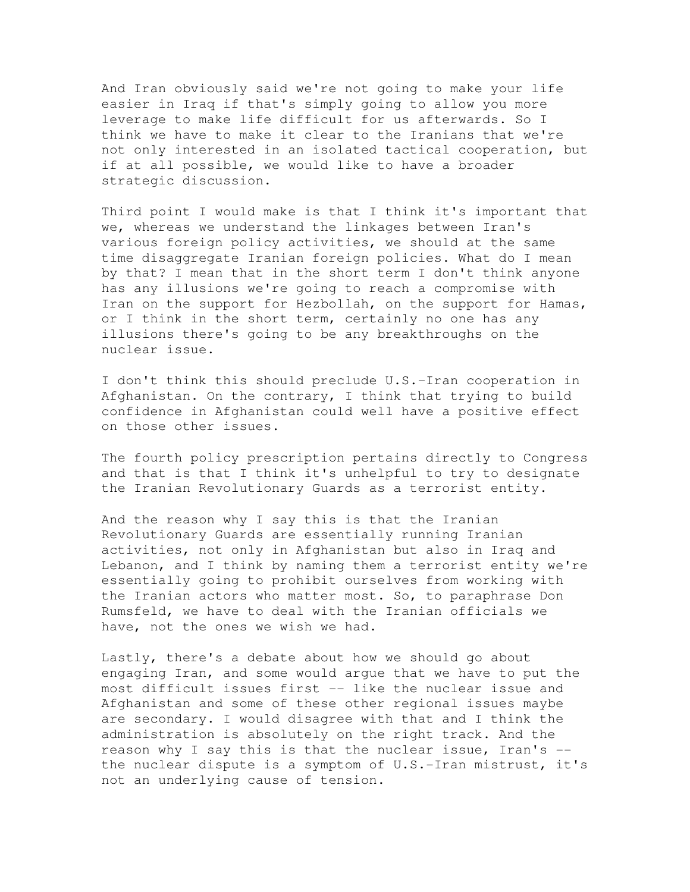And Iran obviously said we're not going to make your life easier in Iraq if that's simply going to allow you more leverage to make life difficult for us afterwards. So I think we have to make it clear to the Iranians that we're not only interested in an isolated tactical cooperation, but if at all possible, we would like to have a broader strategic discussion.

Third point I would make is that I think it's important that we, whereas we understand the linkages between Iran's various foreign policy activities, we should at the same time disaggregate Iranian foreign policies. What do I mean by that? I mean that in the short term I don't think anyone has any illusions we're going to reach a compromise with Iran on the support for Hezbollah, on the support for Hamas, or I think in the short term, certainly no one has any illusions there's going to be any breakthroughs on the nuclear issue.

I don't think this should preclude U.S.-Iran cooperation in Afghanistan. On the contrary, I think that trying to build confidence in Afghanistan could well have a positive effect on those other issues.

The fourth policy prescription pertains directly to Congress and that is that I think it's unhelpful to try to designate the Iranian Revolutionary Guards as a terrorist entity.

And the reason why I say this is that the Iranian Revolutionary Guards are essentially running Iranian activities, not only in Afghanistan but also in Iraq and Lebanon, and I think by naming them a terrorist entity we're essentially going to prohibit ourselves from working with the Iranian actors who matter most. So, to paraphrase Don Rumsfeld, we have to deal with the Iranian officials we have, not the ones we wish we had.

Lastly, there's a debate about how we should go about engaging Iran, and some would argue that we have to put the most difficult issues first -- like the nuclear issue and Afghanistan and some of these other regional issues maybe are secondary. I would disagree with that and I think the administration is absolutely on the right track. And the reason why I say this is that the nuclear issue, Iran's - the nuclear dispute is a symptom of U.S.-Iran mistrust, it's not an underlying cause of tension.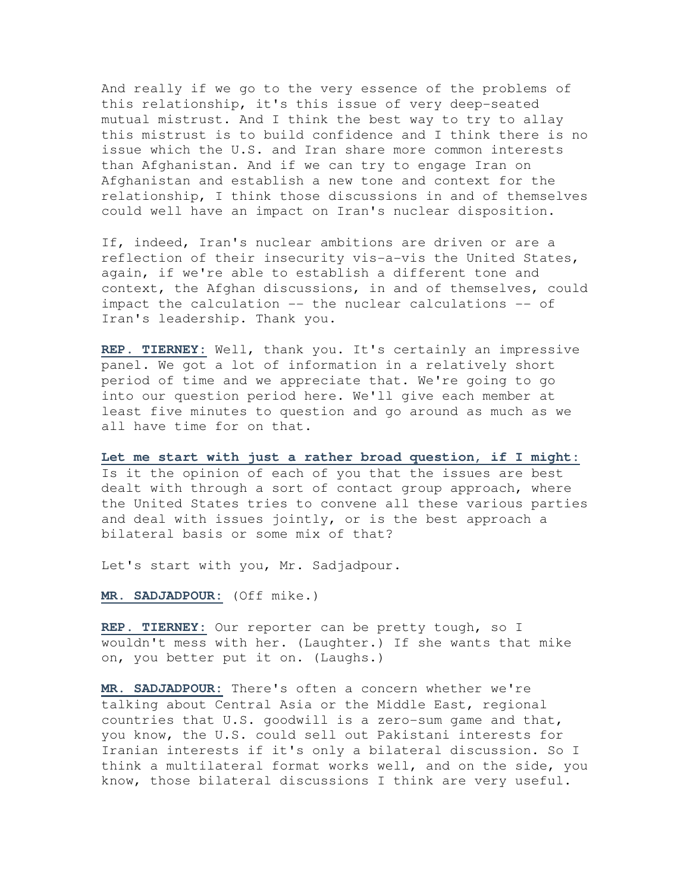And really if we go to the very essence of the problems of this relationship, it's this issue of very deep-seated mutual mistrust. And I think the best way to try to allay this mistrust is to build confidence and I think there is no issue which the U.S. and Iran share more common interests than Afghanistan. And if we can try to engage Iran on Afghanistan and establish a new tone and context for the relationship, I think those discussions in and of themselves could well have an impact on Iran's nuclear disposition.

If, indeed, Iran's nuclear ambitions are driven or are a reflection of their insecurity vis-a-vis the United States, again, if we're able to establish a different tone and context, the Afghan discussions, in and of themselves, could impact the calculation -- the nuclear calculations -- of Iran's leadership. Thank you.

**REP. TIERNEY:** Well, thank you. It's certainly an impressive panel. We got a lot of information in a relatively short period of time and we appreciate that. We're going to go into our question period here. We'll give each member at least five minutes to question and go around as much as we all have time for on that.

**Let me start with just a rather broad question, if I might:** Is it the opinion of each of you that the issues are best dealt with through a sort of contact group approach, where the United States tries to convene all these various parties and deal with issues jointly, or is the best approach a bilateral basis or some mix of that?

Let's start with you, Mr. Sadjadpour.

**MR. SADJADPOUR:** (Off mike.)

**REP. TIERNEY:** Our reporter can be pretty tough, so I wouldn't mess with her. (Laughter.) If she wants that mike on, you better put it on. (Laughs.)

**MR. SADJADPOUR:** There's often a concern whether we're talking about Central Asia or the Middle East, regional countries that U.S. goodwill is a zero-sum game and that, you know, the U.S. could sell out Pakistani interests for Iranian interests if it's only a bilateral discussion. So I think a multilateral format works well, and on the side, you know, those bilateral discussions I think are very useful.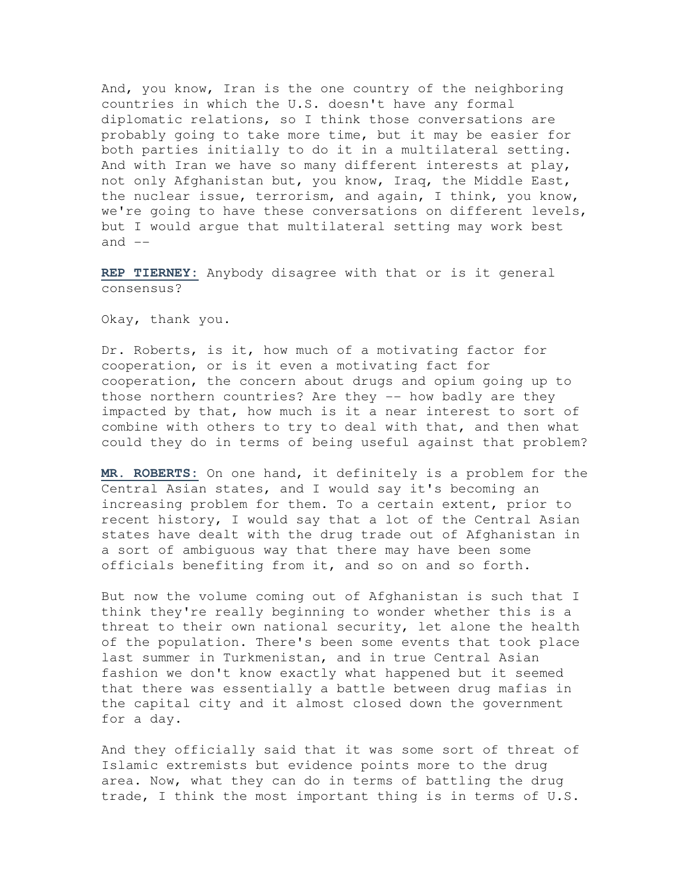And, you know, Iran is the one country of the neighboring countries in which the U.S. doesn't have any formal diplomatic relations, so I think those conversations are probably going to take more time, but it may be easier for both parties initially to do it in a multilateral setting. And with Iran we have so many different interests at play, not only Afghanistan but, you know, Iraq, the Middle East, the nuclear issue, terrorism, and again, I think, you know, we're going to have these conversations on different levels, but I would argue that multilateral setting may work best and  $--$ 

**REP TIERNEY:** Anybody disagree with that or is it general consensus?

Okay, thank you.

Dr. Roberts, is it, how much of a motivating factor for cooperation, or is it even a motivating fact for cooperation, the concern about drugs and opium going up to those northern countries? Are they -- how badly are they impacted by that, how much is it a near interest to sort of combine with others to try to deal with that, and then what could they do in terms of being useful against that problem?

**MR. ROBERTS:** On one hand, it definitely is a problem for the Central Asian states, and I would say it's becoming an increasing problem for them. To a certain extent, prior to recent history, I would say that a lot of the Central Asian states have dealt with the drug trade out of Afghanistan in a sort of ambiguous way that there may have been some officials benefiting from it, and so on and so forth.

But now the volume coming out of Afghanistan is such that I think they're really beginning to wonder whether this is a threat to their own national security, let alone the health of the population. There's been some events that took place last summer in Turkmenistan, and in true Central Asian fashion we don't know exactly what happened but it seemed that there was essentially a battle between drug mafias in the capital city and it almost closed down the government for a day.

And they officially said that it was some sort of threat of Islamic extremists but evidence points more to the drug area. Now, what they can do in terms of battling the drug trade, I think the most important thing is in terms of U.S.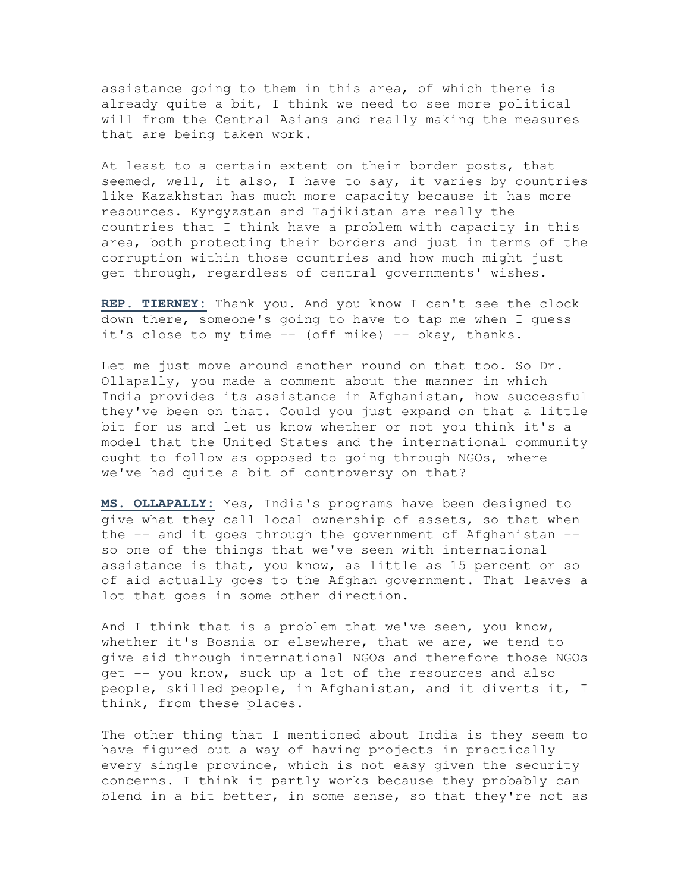assistance going to them in this area, of which there is already quite a bit, I think we need to see more political will from the Central Asians and really making the measures that are being taken work.

At least to a certain extent on their border posts, that seemed, well, it also, I have to say, it varies by countries like Kazakhstan has much more capacity because it has more resources. Kyrgyzstan and Tajikistan are really the countries that I think have a problem with capacity in this area, both protecting their borders and just in terms of the corruption within those countries and how much might just get through, regardless of central governments' wishes.

**REP. TIERNEY:** Thank you. And you know I can't see the clock down there, someone's going to have to tap me when I guess it's close to my time  $--$  (off mike)  $--$  okay, thanks.

Let me just move around another round on that too. So Dr. Ollapally, you made a comment about the manner in which India provides its assistance in Afghanistan, how successful they've been on that. Could you just expand on that a little bit for us and let us know whether or not you think it's a model that the United States and the international community ought to follow as opposed to going through NGOs, where we've had quite a bit of controversy on that?

**MS. OLLAPALLY:** Yes, India's programs have been designed to give what they call local ownership of assets, so that when the -- and it goes through the government of Afghanistan - so one of the things that we've seen with international assistance is that, you know, as little as 15 percent or so of aid actually goes to the Afghan government. That leaves a lot that goes in some other direction.

And I think that is a problem that we've seen, you know, whether it's Bosnia or elsewhere, that we are, we tend to give aid through international NGOs and therefore those NGOs get -- you know, suck up a lot of the resources and also people, skilled people, in Afghanistan, and it diverts it, I think, from these places.

The other thing that I mentioned about India is they seem to have figured out a way of having projects in practically every single province, which is not easy given the security concerns. I think it partly works because they probably can blend in a bit better, in some sense, so that they're not as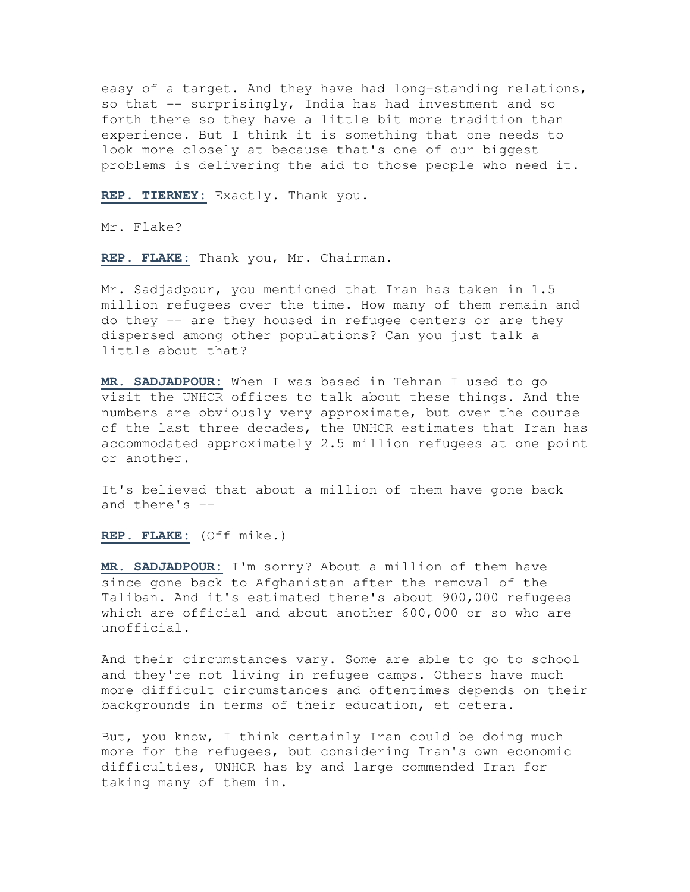easy of a target. And they have had long-standing relations, so that -- surprisingly, India has had investment and so forth there so they have a little bit more tradition than experience. But I think it is something that one needs to look more closely at because that's one of our biggest problems is delivering the aid to those people who need it.

**REP. TIERNEY:** Exactly. Thank you.

Mr. Flake?

**REP. FLAKE:** Thank you, Mr. Chairman.

Mr. Sadjadpour, you mentioned that Iran has taken in 1.5 million refugees over the time. How many of them remain and do they -- are they housed in refugee centers or are they dispersed among other populations? Can you just talk a little about that?

**MR. SADJADPOUR:** When I was based in Tehran I used to go visit the UNHCR offices to talk about these things. And the numbers are obviously very approximate, but over the course of the last three decades, the UNHCR estimates that Iran has accommodated approximately 2.5 million refugees at one point or another.

It's believed that about a million of them have gone back and there's --

**REP. FLAKE:** (Off mike.)

**MR. SADJADPOUR:** I'm sorry? About a million of them have since gone back to Afghanistan after the removal of the Taliban. And it's estimated there's about 900,000 refugees which are official and about another 600,000 or so who are unofficial.

And their circumstances vary. Some are able to go to school and they're not living in refugee camps. Others have much more difficult circumstances and oftentimes depends on their backgrounds in terms of their education, et cetera.

But, you know, I think certainly Iran could be doing much more for the refugees, but considering Iran's own economic difficulties, UNHCR has by and large commended Iran for taking many of them in.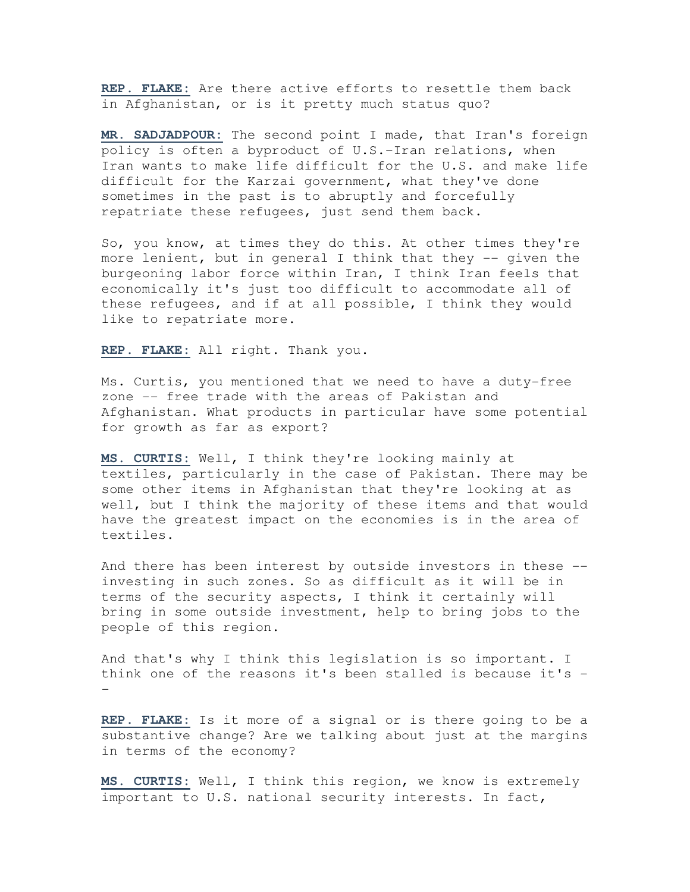**REP. FLAKE:** Are there active efforts to resettle them back in Afghanistan, or is it pretty much status quo?

**MR. SADJADPOUR:** The second point I made, that Iran's foreign policy is often a byproduct of U.S.-Iran relations, when Iran wants to make life difficult for the U.S. and make life difficult for the Karzai government, what they've done sometimes in the past is to abruptly and forcefully repatriate these refugees, just send them back.

So, you know, at times they do this. At other times they're more lenient, but in general I think that they -- given the burgeoning labor force within Iran, I think Iran feels that economically it's just too difficult to accommodate all of these refugees, and if at all possible, I think they would like to repatriate more.

**REP. FLAKE:** All right. Thank you.

Ms. Curtis, you mentioned that we need to have a duty-free zone -- free trade with the areas of Pakistan and Afghanistan. What products in particular have some potential for growth as far as export?

**MS. CURTIS:** Well, I think they're looking mainly at textiles, particularly in the case of Pakistan. There may be some other items in Afghanistan that they're looking at as well, but I think the majority of these items and that would have the greatest impact on the economies is in the area of textiles.

And there has been interest by outside investors in these - investing in such zones. So as difficult as it will be in terms of the security aspects, I think it certainly will bring in some outside investment, help to bring jobs to the people of this region.

And that's why I think this legislation is so important. I think one of the reasons it's been stalled is because it's - -

**REP. FLAKE:** Is it more of a signal or is there going to be a substantive change? Are we talking about just at the margins in terms of the economy?

**MS. CURTIS:** Well, I think this region, we know is extremely important to U.S. national security interests. In fact,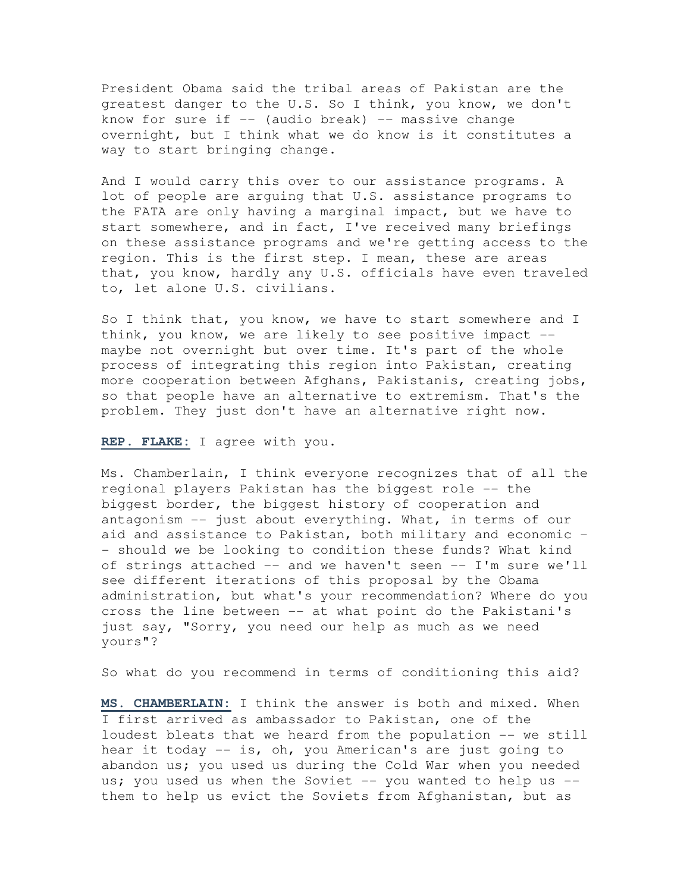President Obama said the tribal areas of Pakistan are the greatest danger to the U.S. So I think, you know, we don't know for sure if  $-$  (audio break)  $-$  massive change overnight, but I think what we do know is it constitutes a way to start bringing change.

And I would carry this over to our assistance programs. A lot of people are arguing that U.S. assistance programs to the FATA are only having a marginal impact, but we have to start somewhere, and in fact, I've received many briefings on these assistance programs and we're getting access to the region. This is the first step. I mean, these are areas that, you know, hardly any U.S. officials have even traveled to, let alone U.S. civilians.

So I think that, you know, we have to start somewhere and I think, you know, we are likely to see positive impact - maybe not overnight but over time. It's part of the whole process of integrating this region into Pakistan, creating more cooperation between Afghans, Pakistanis, creating jobs, so that people have an alternative to extremism. That's the problem. They just don't have an alternative right now.

## **REP. FLAKE:** I agree with you.

Ms. Chamberlain, I think everyone recognizes that of all the regional players Pakistan has the biggest role -- the biggest border, the biggest history of cooperation and antagonism -- just about everything. What, in terms of our aid and assistance to Pakistan, both military and economic - - should we be looking to condition these funds? What kind of strings attached -- and we haven't seen -- I'm sure we'll see different iterations of this proposal by the Obama administration, but what's your recommendation? Where do you cross the line between -- at what point do the Pakistani's just say, "Sorry, you need our help as much as we need yours"?

So what do you recommend in terms of conditioning this aid?

**MS. CHAMBERLAIN:** I think the answer is both and mixed. When I first arrived as ambassador to Pakistan, one of the loudest bleats that we heard from the population -- we still hear it today -- is, oh, you American's are just going to abandon us; you used us during the Cold War when you needed us; you used us when the Soviet  $-$ - you wanted to help us  $-$ them to help us evict the Soviets from Afghanistan, but as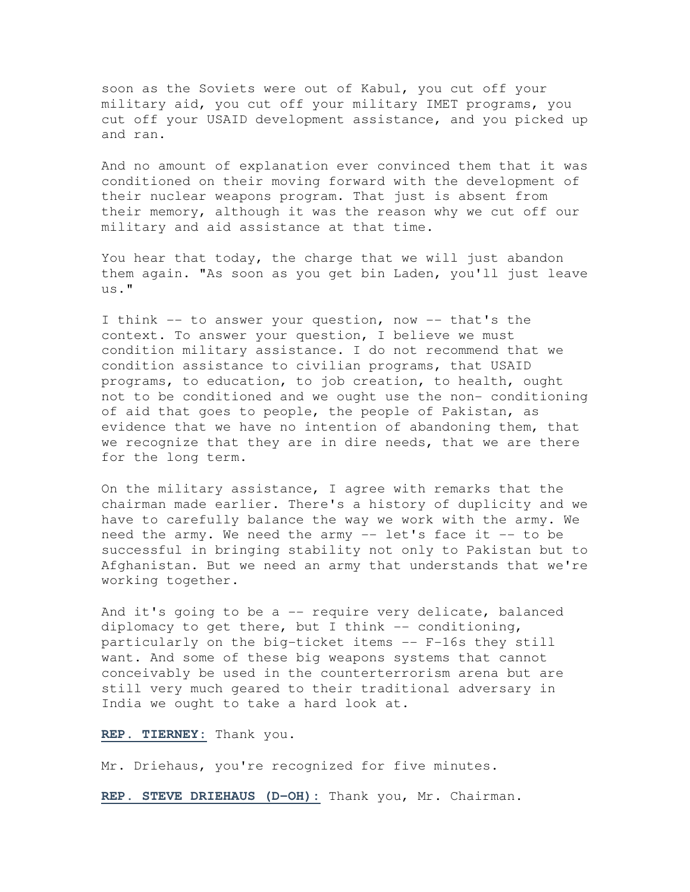soon as the Soviets were out of Kabul, you cut off your military aid, you cut off your military IMET programs, you cut off your USAID development assistance, and you picked up and ran.

And no amount of explanation ever convinced them that it was conditioned on their moving forward with the development of their nuclear weapons program. That just is absent from their memory, although it was the reason why we cut off our military and aid assistance at that time.

You hear that today, the charge that we will just abandon them again. "As soon as you get bin Laden, you'll just leave us."

I think -- to answer your question, now -- that's the context. To answer your question, I believe we must condition military assistance. I do not recommend that we condition assistance to civilian programs, that USAID programs, to education, to job creation, to health, ought not to be conditioned and we ought use the non- conditioning of aid that goes to people, the people of Pakistan, as evidence that we have no intention of abandoning them, that we recognize that they are in dire needs, that we are there for the long term.

On the military assistance, I agree with remarks that the chairman made earlier. There's a history of duplicity and we have to carefully balance the way we work with the army. We need the army. We need the army -- let's face it -- to be successful in bringing stability not only to Pakistan but to Afghanistan. But we need an army that understands that we're working together.

And it's going to be a -- require very delicate, balanced diplomacy to get there, but I think  $-$ - conditioning, particularly on the big-ticket items -- F-16s they still want. And some of these big weapons systems that cannot conceivably be used in the counterterrorism arena but are still very much geared to their traditional adversary in India we ought to take a hard look at.

**REP. TIERNEY:** Thank you.

Mr. Driehaus, you're recognized for five minutes.

**REP. STEVE DRIEHAUS (D-OH):** Thank you, Mr. Chairman.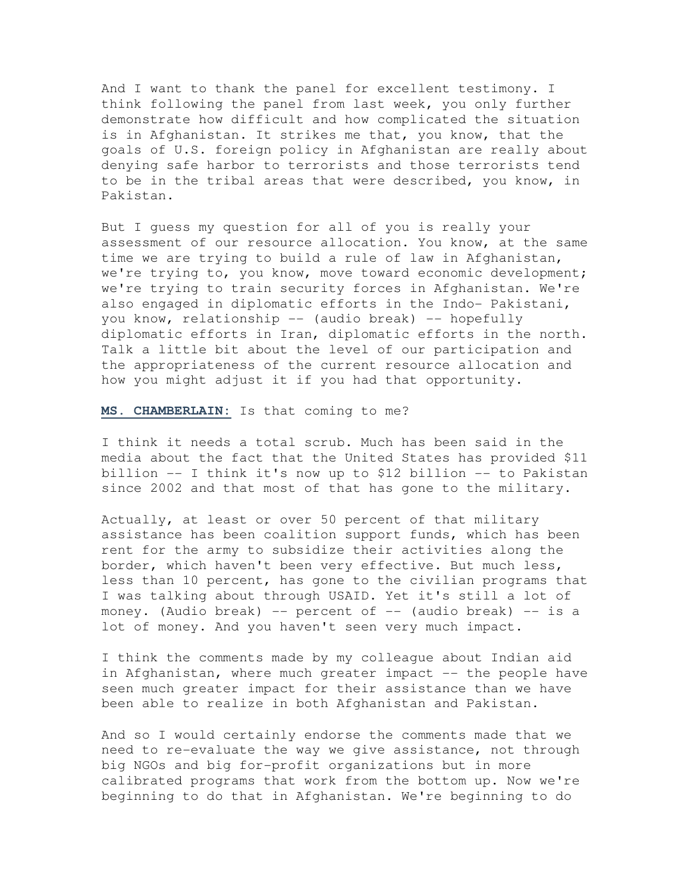And I want to thank the panel for excellent testimony. I think following the panel from last week, you only further demonstrate how difficult and how complicated the situation is in Afghanistan. It strikes me that, you know, that the goals of U.S. foreign policy in Afghanistan are really about denying safe harbor to terrorists and those terrorists tend to be in the tribal areas that were described, you know, in Pakistan.

But I guess my question for all of you is really your assessment of our resource allocation. You know, at the same time we are trying to build a rule of law in Afghanistan, we're trying to, you know, move toward economic development; we're trying to train security forces in Afghanistan. We're also engaged in diplomatic efforts in the Indo- Pakistani, you know, relationship -- (audio break) -- hopefully diplomatic efforts in Iran, diplomatic efforts in the north. Talk a little bit about the level of our participation and the appropriateness of the current resource allocation and how you might adjust it if you had that opportunity.

**MS. CHAMBERLAIN:** Is that coming to me?

I think it needs a total scrub. Much has been said in the media about the fact that the United States has provided \$11 billion -- I think it's now up to \$12 billion -- to Pakistan since 2002 and that most of that has gone to the military.

Actually, at least or over 50 percent of that military assistance has been coalition support funds, which has been rent for the army to subsidize their activities along the border, which haven't been very effective. But much less, less than 10 percent, has gone to the civilian programs that I was talking about through USAID. Yet it's still a lot of money. (Audio break)  $-$  percent of  $-$  (audio break)  $-$  is a lot of money. And you haven't seen very much impact.

I think the comments made by my colleague about Indian aid in Afghanistan, where much greater impact -- the people have seen much greater impact for their assistance than we have been able to realize in both Afghanistan and Pakistan.

And so I would certainly endorse the comments made that we need to re-evaluate the way we give assistance, not through big NGOs and big for-profit organizations but in more calibrated programs that work from the bottom up. Now we're beginning to do that in Afghanistan. We're beginning to do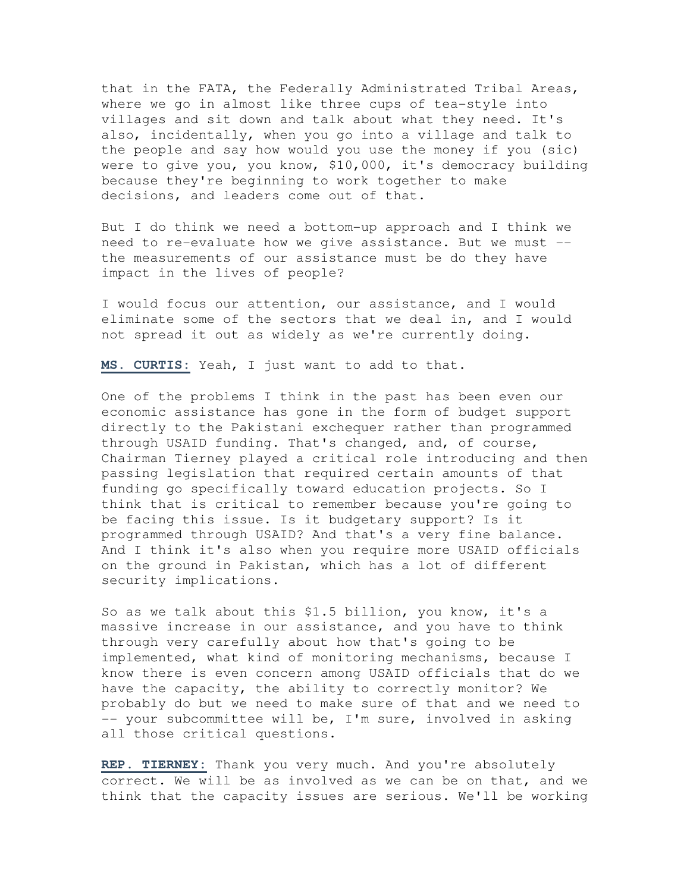that in the FATA, the Federally Administrated Tribal Areas, where we go in almost like three cups of tea-style into villages and sit down and talk about what they need. It's also, incidentally, when you go into a village and talk to the people and say how would you use the money if you (sic) were to give you, you know, \$10,000, it's democracy building because they're beginning to work together to make decisions, and leaders come out of that.

But I do think we need a bottom-up approach and I think we need to re-evaluate how we give assistance. But we must - the measurements of our assistance must be do they have impact in the lives of people?

I would focus our attention, our assistance, and I would eliminate some of the sectors that we deal in, and I would not spread it out as widely as we're currently doing.

**MS. CURTIS:** Yeah, I just want to add to that.

One of the problems I think in the past has been even our economic assistance has gone in the form of budget support directly to the Pakistani exchequer rather than programmed through USAID funding. That's changed, and, of course, Chairman Tierney played a critical role introducing and then passing legislation that required certain amounts of that funding go specifically toward education projects. So I think that is critical to remember because you're going to be facing this issue. Is it budgetary support? Is it programmed through USAID? And that's a very fine balance. And I think it's also when you require more USAID officials on the ground in Pakistan, which has a lot of different security implications.

So as we talk about this \$1.5 billion, you know, it's a massive increase in our assistance, and you have to think through very carefully about how that's going to be implemented, what kind of monitoring mechanisms, because I know there is even concern among USAID officials that do we have the capacity, the ability to correctly monitor? We probably do but we need to make sure of that and we need to -- your subcommittee will be, I'm sure, involved in asking all those critical questions.

**REP. TIERNEY:** Thank you very much. And you're absolutely correct. We will be as involved as we can be on that, and we think that the capacity issues are serious. We'll be working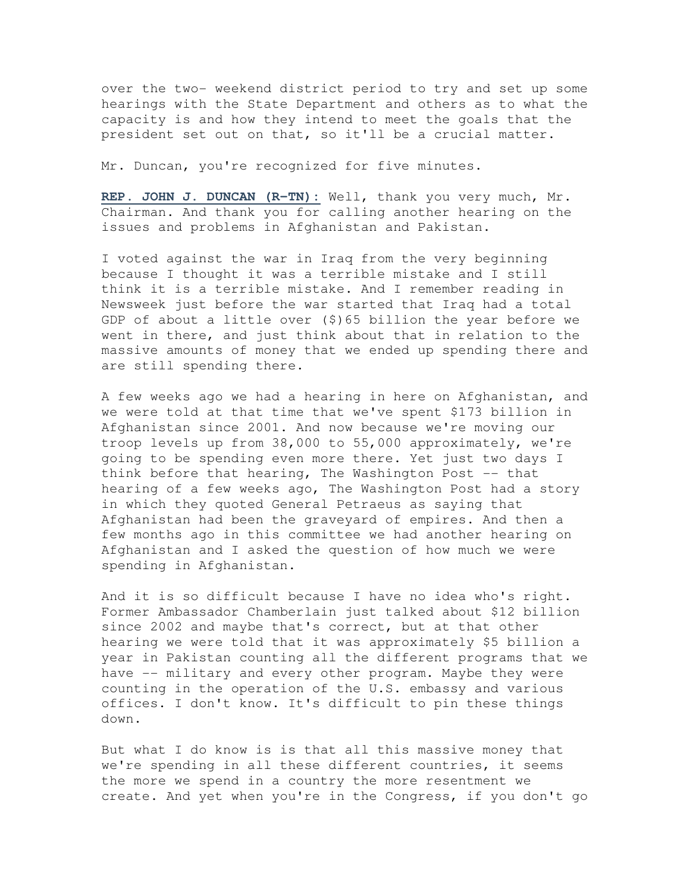over the two- weekend district period to try and set up some hearings with the State Department and others as to what the capacity is and how they intend to meet the goals that the president set out on that, so it'll be a crucial matter.

Mr. Duncan, you're recognized for five minutes.

**REP. JOHN J. DUNCAN (R-TN):** Well, thank you very much, Mr. Chairman. And thank you for calling another hearing on the issues and problems in Afghanistan and Pakistan.

I voted against the war in Iraq from the very beginning because I thought it was a terrible mistake and I still think it is a terrible mistake. And I remember reading in Newsweek just before the war started that Iraq had a total GDP of about a little over (\$)65 billion the year before we went in there, and just think about that in relation to the massive amounts of money that we ended up spending there and are still spending there.

A few weeks ago we had a hearing in here on Afghanistan, and we were told at that time that we've spent \$173 billion in Afghanistan since 2001. And now because we're moving our troop levels up from 38,000 to 55,000 approximately, we're going to be spending even more there. Yet just two days I think before that hearing, The Washington Post -- that hearing of a few weeks ago, The Washington Post had a story in which they quoted General Petraeus as saying that Afghanistan had been the graveyard of empires. And then a few months ago in this committee we had another hearing on Afghanistan and I asked the question of how much we were spending in Afghanistan.

And it is so difficult because I have no idea who's right. Former Ambassador Chamberlain just talked about \$12 billion since 2002 and maybe that's correct, but at that other hearing we were told that it was approximately \$5 billion a year in Pakistan counting all the different programs that we have -- military and every other program. Maybe they were counting in the operation of the U.S. embassy and various offices. I don't know. It's difficult to pin these things down.

But what I do know is is that all this massive money that we're spending in all these different countries, it seems the more we spend in a country the more resentment we create. And yet when you're in the Congress, if you don't go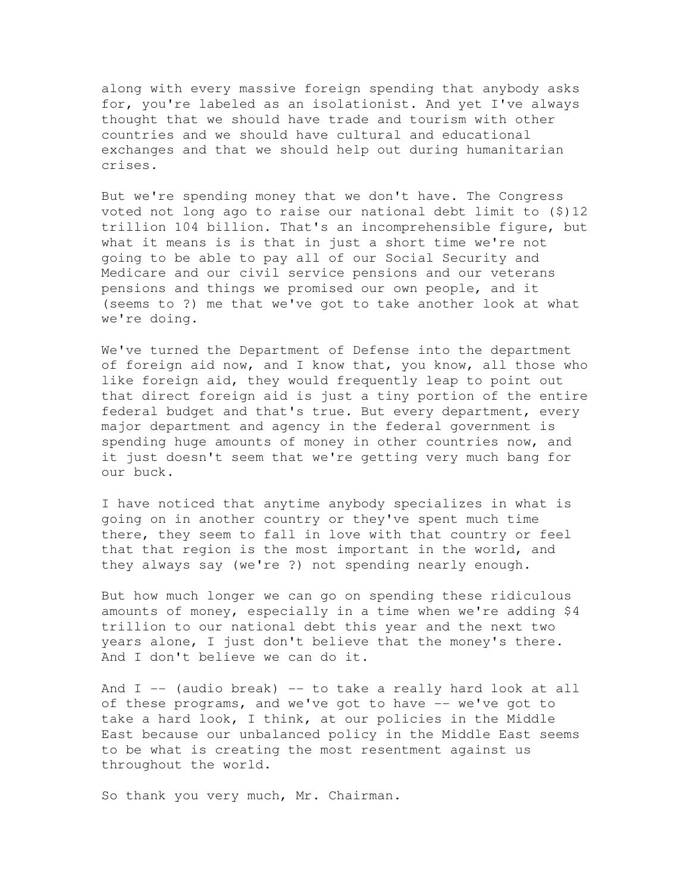along with every massive foreign spending that anybody asks for, you're labeled as an isolationist. And yet I've always thought that we should have trade and tourism with other countries and we should have cultural and educational exchanges and that we should help out during humanitarian crises.

But we're spending money that we don't have. The Congress voted not long ago to raise our national debt limit to (\$)12 trillion 104 billion. That's an incomprehensible figure, but what it means is is that in just a short time we're not going to be able to pay all of our Social Security and Medicare and our civil service pensions and our veterans pensions and things we promised our own people, and it (seems to ?) me that we've got to take another look at what we're doing.

We've turned the Department of Defense into the department of foreign aid now, and I know that, you know, all those who like foreign aid, they would frequently leap to point out that direct foreign aid is just a tiny portion of the entire federal budget and that's true. But every department, every major department and agency in the federal government is spending huge amounts of money in other countries now, and it just doesn't seem that we're getting very much bang for our buck.

I have noticed that anytime anybody specializes in what is going on in another country or they've spent much time there, they seem to fall in love with that country or feel that that region is the most important in the world, and they always say (we're ?) not spending nearly enough.

But how much longer we can go on spending these ridiculous amounts of money, especially in a time when we're adding \$4 trillion to our national debt this year and the next two years alone, I just don't believe that the money's there. And I don't believe we can do it.

And I -- (audio break) -- to take a really hard look at all of these programs, and we've got to have -- we've got to take a hard look, I think, at our policies in the Middle East because our unbalanced policy in the Middle East seems to be what is creating the most resentment against us throughout the world.

So thank you very much, Mr. Chairman.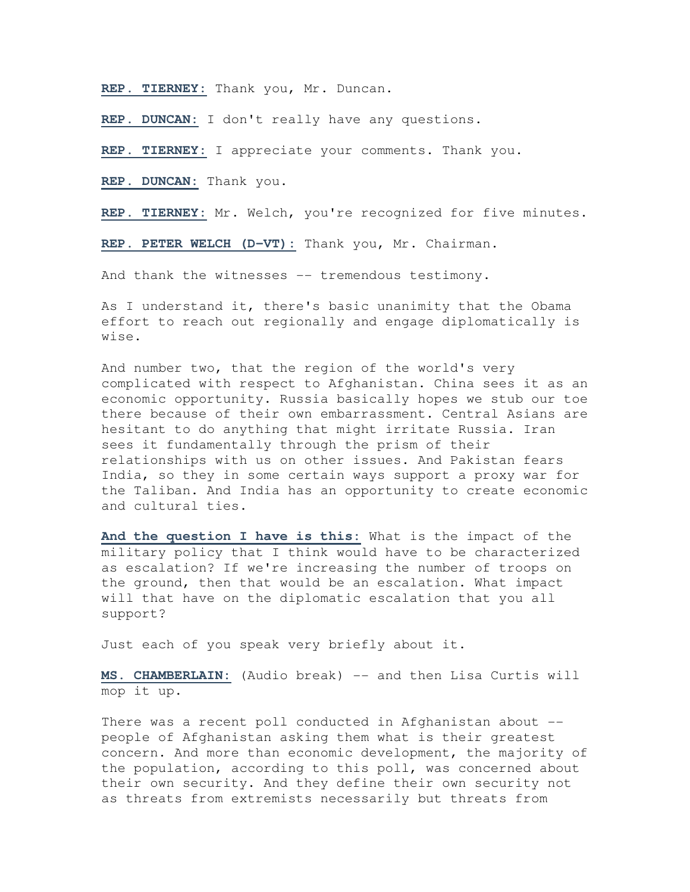**REP. TIERNEY:** Thank you, Mr. Duncan.

**REP. DUNCAN:** I don't really have any questions.

**REP. TIERNEY:** I appreciate your comments. Thank you.

**REP. DUNCAN:** Thank you.

**REP. TIERNEY:** Mr. Welch, you're recognized for five minutes.

**REP. PETER WELCH (D-VT):** Thank you, Mr. Chairman.

And thank the witnesses -- tremendous testimony.

As I understand it, there's basic unanimity that the Obama effort to reach out regionally and engage diplomatically is wise.

And number two, that the region of the world's very complicated with respect to Afghanistan. China sees it as an economic opportunity. Russia basically hopes we stub our toe there because of their own embarrassment. Central Asians are hesitant to do anything that might irritate Russia. Iran sees it fundamentally through the prism of their relationships with us on other issues. And Pakistan fears India, so they in some certain ways support a proxy war for the Taliban. And India has an opportunity to create economic and cultural ties.

**And the question I have is this:** What is the impact of the military policy that I think would have to be characterized as escalation? If we're increasing the number of troops on the ground, then that would be an escalation. What impact will that have on the diplomatic escalation that you all support?

Just each of you speak very briefly about it.

**MS. CHAMBERLAIN:** (Audio break) -- and then Lisa Curtis will mop it up.

There was a recent poll conducted in Afghanistan about - people of Afghanistan asking them what is their greatest concern. And more than economic development, the majority of the population, according to this poll, was concerned about their own security. And they define their own security not as threats from extremists necessarily but threats from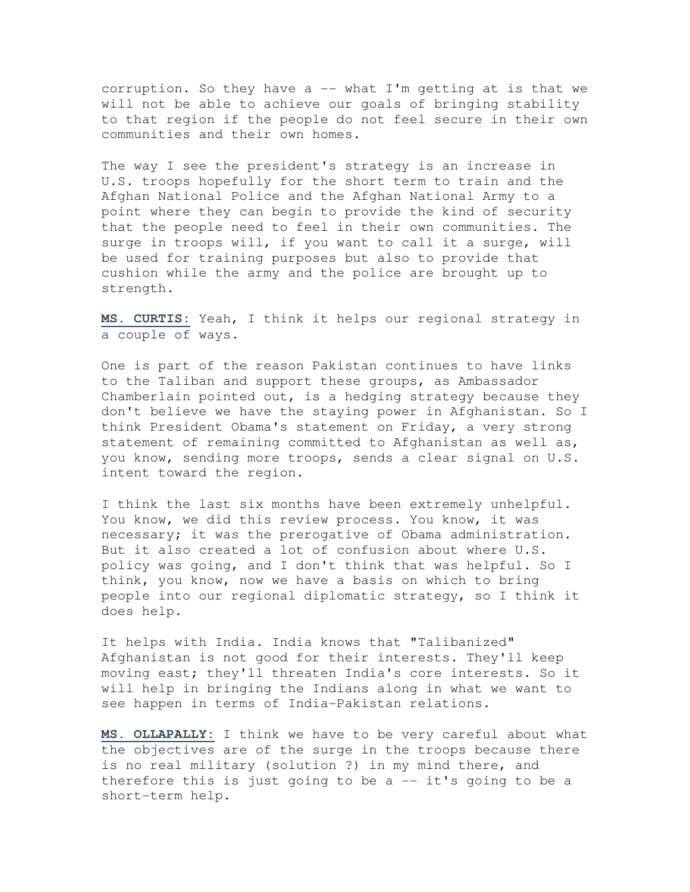corruption. So they have a  $-$  what I'm getting at is that we will not be able to achieve our goals of bringing stability to that region if the people do not feel secure in their own communities and their own homes.

The way I see the president's strategy is an increase in U.S. troops hopefully for the short term to train and the Afghan National Police and the Afghan National Army to a point where they can begin to provide the kind of security that the people need to feel in their own communities. The surge in troops will, if you want to call it a surge, will be used for training purposes but also to provide that cushion while the army and the police are brought up to strength.

**MS. CURTIS:** Yeah, I think it helps our regional strategy in a couple of ways.

One is part of the reason Pakistan continues to have links to the Taliban and support these groups, as Ambassador Chamberlain pointed out, is a hedging strategy because they don't believe we have the staying power in Afghanistan. So I think President Obama's statement on Friday, a very strong statement of remaining committed to Afghanistan as well as, you know, sending more troops, sends a clear signal on U.S. intent toward the region.

I think the last six months have been extremely unhelpful. You know, we did this review process. You know, it was necessary; it was the prerogative of Obama administration. But it also created a lot of confusion about where U.S. policy was going, and I don't think that was helpful. So I think, you know, now we have a basis on which to bring people into our regional diplomatic strategy, so I think it does help.

It helps with India. India knows that "Talibanized" Afghanistan is not good for their interests. They'll keep moving east; they'll threaten India's core interests. So it will help in bringing the Indians along in what we want to see happen in terms of India-Pakistan relations.

**MS. OLLAPALLY:** I think we have to be very careful about what the objectives are of the surge in the troops because there is no real military (solution ?) in my mind there, and therefore this is just going to be  $a - - it's$  going to be a short-term help.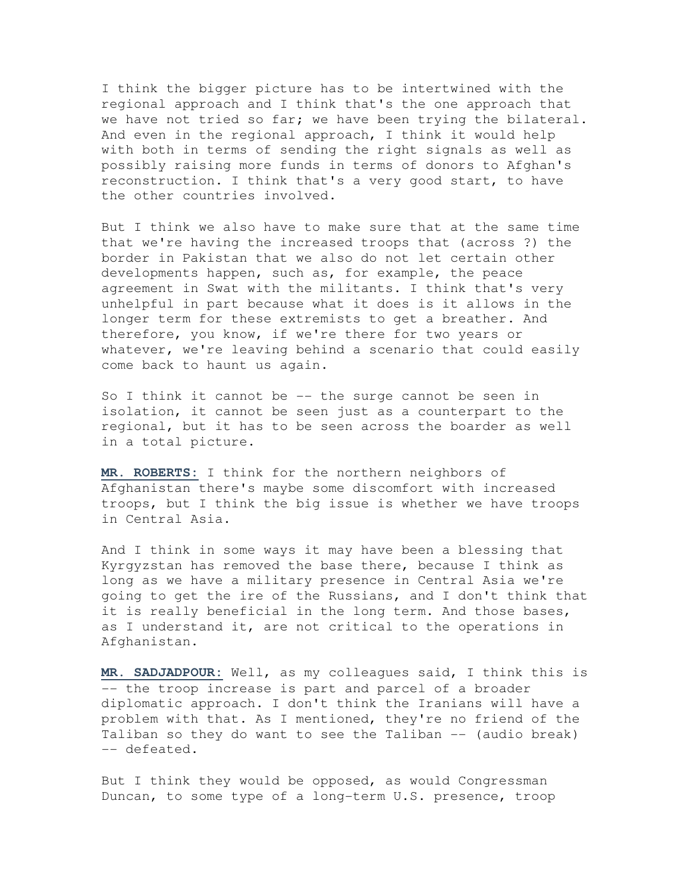I think the bigger picture has to be intertwined with the regional approach and I think that's the one approach that we have not tried so far; we have been trying the bilateral. And even in the regional approach, I think it would help with both in terms of sending the right signals as well as possibly raising more funds in terms of donors to Afghan's reconstruction. I think that's a very good start, to have the other countries involved.

But I think we also have to make sure that at the same time that we're having the increased troops that (across ?) the border in Pakistan that we also do not let certain other developments happen, such as, for example, the peace agreement in Swat with the militants. I think that's very unhelpful in part because what it does is it allows in the longer term for these extremists to get a breather. And therefore, you know, if we're there for two years or whatever, we're leaving behind a scenario that could easily come back to haunt us again.

So I think it cannot be  $-$ - the surge cannot be seen in isolation, it cannot be seen just as a counterpart to the regional, but it has to be seen across the boarder as well in a total picture.

**MR. ROBERTS:** I think for the northern neighbors of Afghanistan there's maybe some discomfort with increased troops, but I think the big issue is whether we have troops in Central Asia.

And I think in some ways it may have been a blessing that Kyrgyzstan has removed the base there, because I think as long as we have a military presence in Central Asia we're going to get the ire of the Russians, and I don't think that it is really beneficial in the long term. And those bases, as I understand it, are not critical to the operations in Afghanistan.

**MR. SADJADPOUR:** Well, as my colleagues said, I think this is -- the troop increase is part and parcel of a broader diplomatic approach. I don't think the Iranians will have a problem with that. As I mentioned, they're no friend of the Taliban so they do want to see the Taliban -- (audio break) -- defeated.

But I think they would be opposed, as would Congressman Duncan, to some type of a long-term U.S. presence, troop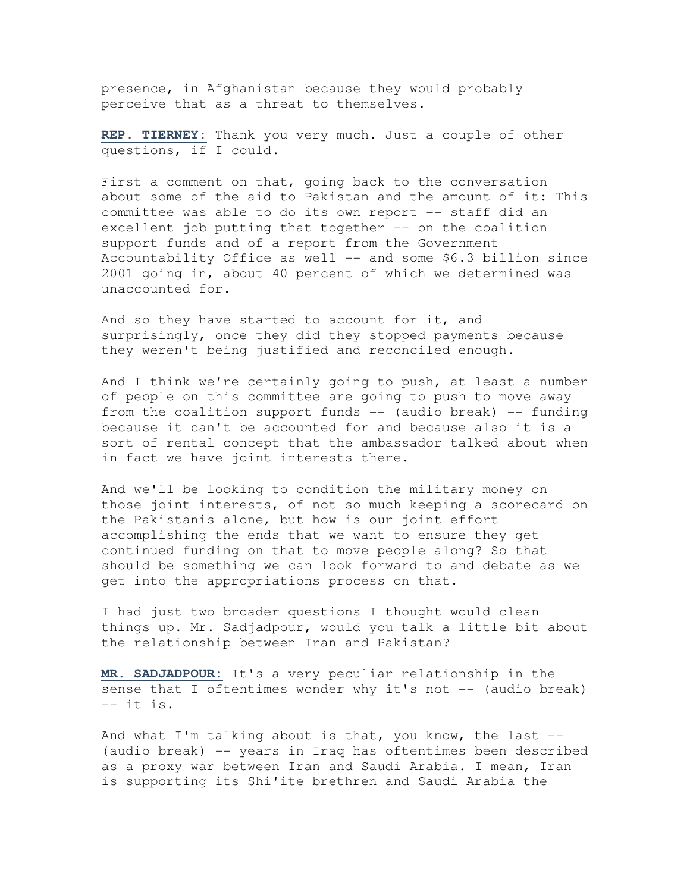presence, in Afghanistan because they would probably perceive that as a threat to themselves.

**REP. TIERNEY:** Thank you very much. Just a couple of other questions, if I could.

First a comment on that, going back to the conversation about some of the aid to Pakistan and the amount of it: This committee was able to do its own report -- staff did an excellent job putting that together -- on the coalition support funds and of a report from the Government Accountability Office as well -- and some \$6.3 billion since 2001 going in, about 40 percent of which we determined was unaccounted for.

And so they have started to account for it, and surprisingly, once they did they stopped payments because they weren't being justified and reconciled enough.

And I think we're certainly going to push, at least a number of people on this committee are going to push to move away from the coalition support funds  $-$  (audio break)  $-$  funding because it can't be accounted for and because also it is a sort of rental concept that the ambassador talked about when in fact we have joint interests there.

And we'll be looking to condition the military money on those joint interests, of not so much keeping a scorecard on the Pakistanis alone, but how is our joint effort accomplishing the ends that we want to ensure they get continued funding on that to move people along? So that should be something we can look forward to and debate as we get into the appropriations process on that.

I had just two broader questions I thought would clean things up. Mr. Sadjadpour, would you talk a little bit about the relationship between Iran and Pakistan?

**MR. SADJADPOUR:** It's a very peculiar relationship in the sense that I oftentimes wonder why it's not -- (audio break) -- it is.

And what I'm talking about is that, you know, the last --(audio break) -- years in Iraq has oftentimes been described as a proxy war between Iran and Saudi Arabia. I mean, Iran is supporting its Shi'ite brethren and Saudi Arabia the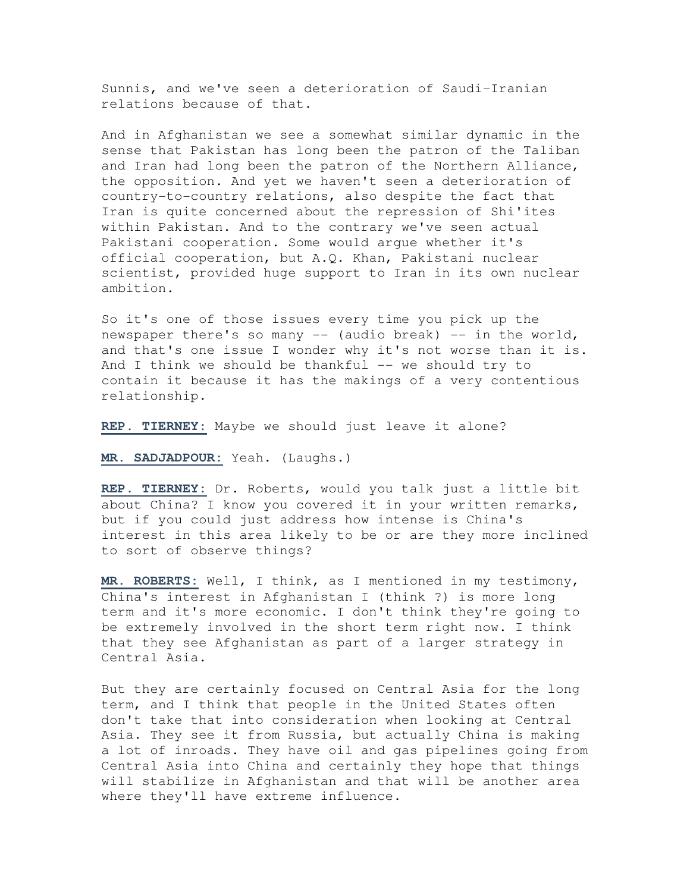Sunnis, and we've seen a deterioration of Saudi-Iranian relations because of that.

And in Afghanistan we see a somewhat similar dynamic in the sense that Pakistan has long been the patron of the Taliban and Iran had long been the patron of the Northern Alliance, the opposition. And yet we haven't seen a deterioration of country-to-country relations, also despite the fact that Iran is quite concerned about the repression of Shi'ites within Pakistan. And to the contrary we've seen actual Pakistani cooperation. Some would argue whether it's official cooperation, but A.Q. Khan, Pakistani nuclear scientist, provided huge support to Iran in its own nuclear ambition.

So it's one of those issues every time you pick up the newspaper there's so many -- (audio break) -- in the world, and that's one issue I wonder why it's not worse than it is. And I think we should be thankful  $--$  we should try to contain it because it has the makings of a very contentious relationship.

**REP. TIERNEY:** Maybe we should just leave it alone?

**MR. SADJADPOUR:** Yeah. (Laughs.)

**REP. TIERNEY:** Dr. Roberts, would you talk just a little bit about China? I know you covered it in your written remarks, but if you could just address how intense is China's interest in this area likely to be or are they more inclined to sort of observe things?

**MR. ROBERTS:** Well, I think, as I mentioned in my testimony, China's interest in Afghanistan I (think ?) is more long term and it's more economic. I don't think they're going to be extremely involved in the short term right now. I think that they see Afghanistan as part of a larger strategy in Central Asia.

But they are certainly focused on Central Asia for the long term, and I think that people in the United States often don't take that into consideration when looking at Central Asia. They see it from Russia, but actually China is making a lot of inroads. They have oil and gas pipelines going from Central Asia into China and certainly they hope that things will stabilize in Afghanistan and that will be another area where they'll have extreme influence.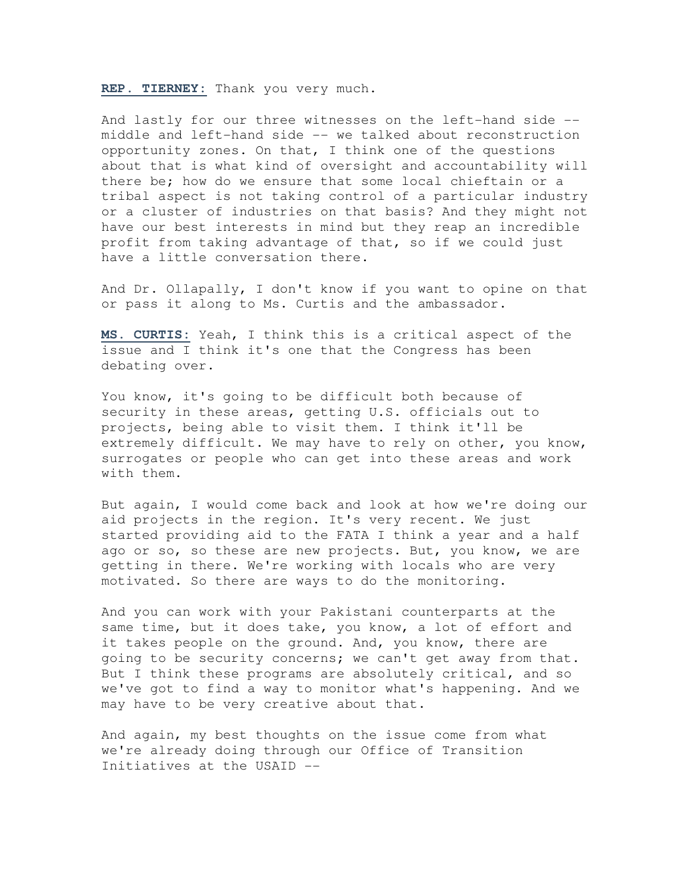**REP. TIERNEY:** Thank you very much.

And lastly for our three witnesses on the left-hand side - middle and left-hand side -- we talked about reconstruction opportunity zones. On that, I think one of the questions about that is what kind of oversight and accountability will there be; how do we ensure that some local chieftain or a tribal aspect is not taking control of a particular industry or a cluster of industries on that basis? And they might not have our best interests in mind but they reap an incredible profit from taking advantage of that, so if we could just have a little conversation there.

And Dr. Ollapally, I don't know if you want to opine on that or pass it along to Ms. Curtis and the ambassador.

**MS. CURTIS:** Yeah, I think this is a critical aspect of the issue and I think it's one that the Congress has been debating over.

You know, it's going to be difficult both because of security in these areas, getting U.S. officials out to projects, being able to visit them. I think it'll be extremely difficult. We may have to rely on other, you know, surrogates or people who can get into these areas and work with them.

But again, I would come back and look at how we're doing our aid projects in the region. It's very recent. We just started providing aid to the FATA I think a year and a half ago or so, so these are new projects. But, you know, we are getting in there. We're working with locals who are very motivated. So there are ways to do the monitoring.

And you can work with your Pakistani counterparts at the same time, but it does take, you know, a lot of effort and it takes people on the ground. And, you know, there are going to be security concerns; we can't get away from that. But I think these programs are absolutely critical, and so we've got to find a way to monitor what's happening. And we may have to be very creative about that.

And again, my best thoughts on the issue come from what we're already doing through our Office of Transition Initiatives at the USAID --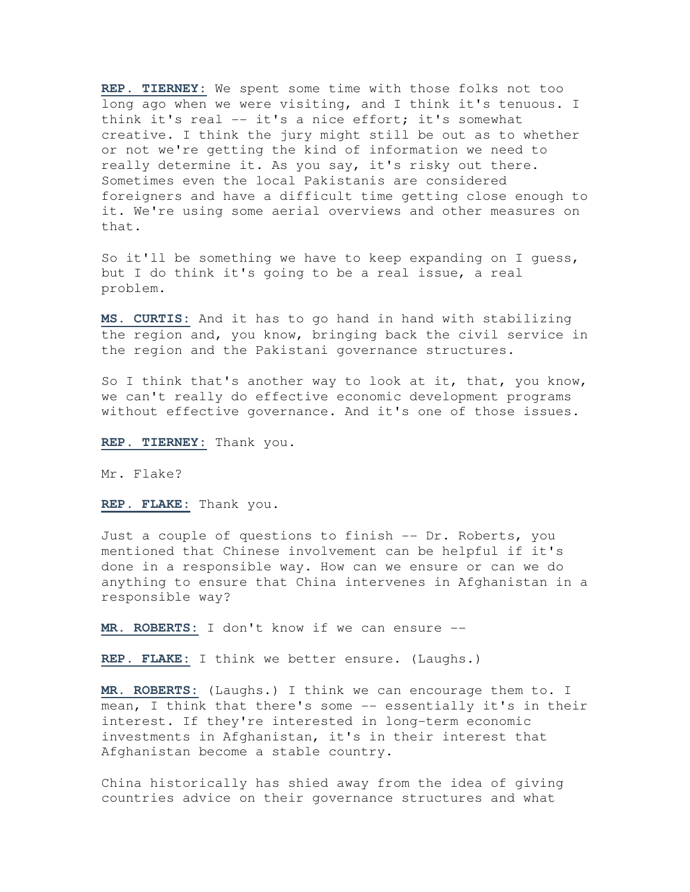**REP. TIERNEY:** We spent some time with those folks not too long ago when we were visiting, and I think it's tenuous. I think it's real -- it's a nice effort; it's somewhat creative. I think the jury might still be out as to whether or not we're getting the kind of information we need to really determine it. As you say, it's risky out there. Sometimes even the local Pakistanis are considered foreigners and have a difficult time getting close enough to it. We're using some aerial overviews and other measures on that.

So it'll be something we have to keep expanding on I quess, but I do think it's going to be a real issue, a real problem.

**MS. CURTIS:** And it has to go hand in hand with stabilizing the region and, you know, bringing back the civil service in the region and the Pakistani governance structures.

So I think that's another way to look at it, that, you know, we can't really do effective economic development programs without effective governance. And it's one of those issues.

**REP. TIERNEY:** Thank you.

Mr. Flake?

**REP. FLAKE:** Thank you.

Just a couple of questions to finish -- Dr. Roberts, you mentioned that Chinese involvement can be helpful if it's done in a responsible way. How can we ensure or can we do anything to ensure that China intervenes in Afghanistan in a responsible way?

**MR. ROBERTS:** I don't know if we can ensure --

**REP. FLAKE:** I think we better ensure. (Laughs.)

**MR. ROBERTS:** (Laughs.) I think we can encourage them to. I mean, I think that there's some -- essentially it's in their interest. If they're interested in long-term economic investments in Afghanistan, it's in their interest that Afghanistan become a stable country.

China historically has shied away from the idea of giving countries advice on their governance structures and what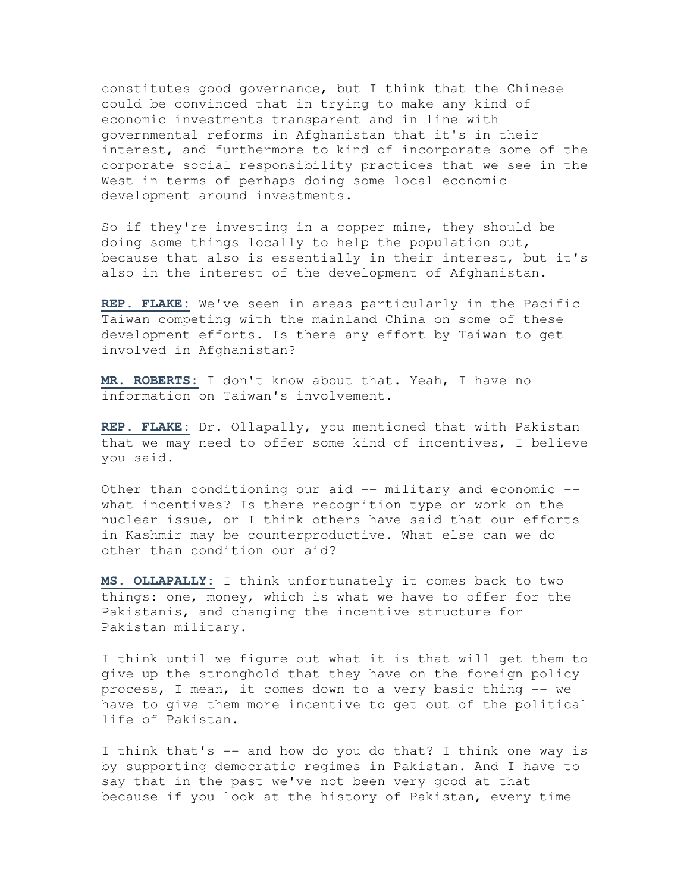constitutes good governance, but I think that the Chinese could be convinced that in trying to make any kind of economic investments transparent and in line with governmental reforms in Afghanistan that it's in their interest, and furthermore to kind of incorporate some of the corporate social responsibility practices that we see in the West in terms of perhaps doing some local economic development around investments.

So if they're investing in a copper mine, they should be doing some things locally to help the population out, because that also is essentially in their interest, but it's also in the interest of the development of Afghanistan.

**REP. FLAKE:** We've seen in areas particularly in the Pacific Taiwan competing with the mainland China on some of these development efforts. Is there any effort by Taiwan to get involved in Afghanistan?

**MR. ROBERTS:** I don't know about that. Yeah, I have no information on Taiwan's involvement.

**REP. FLAKE:** Dr. Ollapally, you mentioned that with Pakistan that we may need to offer some kind of incentives, I believe you said.

Other than conditioning our aid -- military and economic -what incentives? Is there recognition type or work on the nuclear issue, or I think others have said that our efforts in Kashmir may be counterproductive. What else can we do other than condition our aid?

**MS. OLLAPALLY:** I think unfortunately it comes back to two things: one, money, which is what we have to offer for the Pakistanis, and changing the incentive structure for Pakistan military.

I think until we figure out what it is that will get them to give up the stronghold that they have on the foreign policy process, I mean, it comes down to a very basic thing -- we have to give them more incentive to get out of the political life of Pakistan.

I think that's -- and how do you do that? I think one way is by supporting democratic regimes in Pakistan. And I have to say that in the past we've not been very good at that because if you look at the history of Pakistan, every time